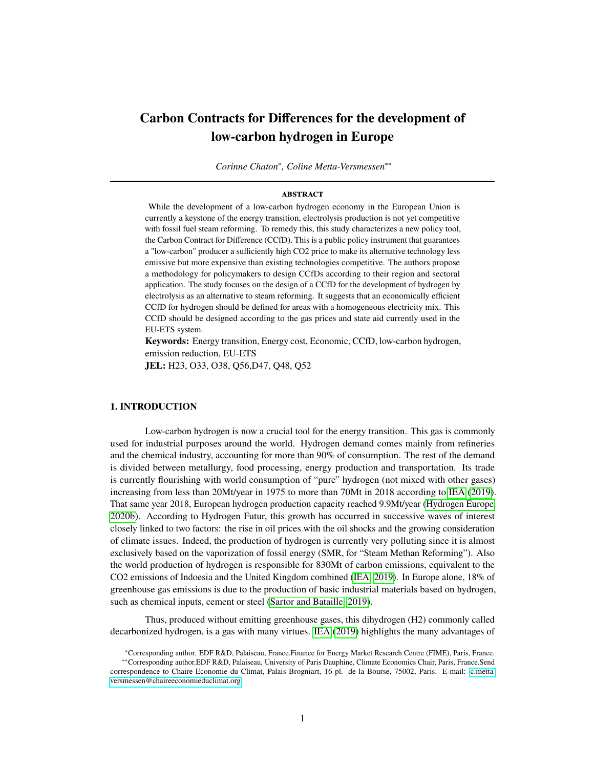# <span id="page-0-0"></span>**Carbon Contracts for Differences for the development of low-carbon hydrogen in Europe**

*Corinne Chaton*<sup>∗</sup> *, Coline Metta-Versmessen*∗∗

#### **abstract**

While the development of a low-carbon hydrogen economy in the European Union is currently a keystone of the energy transition, electrolysis production is not yet competitive with fossil fuel steam reforming. To remedy this, this study characterizes a new policy tool, the Carbon Contract for Difference (CCfD). This is a public policy instrument that guarantees a "low-carbon" producer a sufficiently high CO2 price to make its alternative technology less emissive but more expensive than existing technologies competitive. The authors propose a methodology for policymakers to design CCfDs according to their region and sectoral application. The study focuses on the design of a CCfD for the development of hydrogen by electrolysis as an alternative to steam reforming. It suggests that an economically efficient CCfD for hydrogen should be defined for areas with a homogeneous electricity mix. This CCfD should be designed according to the gas prices and state aid currently used in the EU-ETS system.

**Keywords:** Energy transition, Energy cost, Economic, CCfD, low-carbon hydrogen, emission reduction, EU-ETS

**JEL:** H23, O33, O38, Q56,D47, Q48, Q52

# **1. INTRODUCTION**

Low-carbon hydrogen is now a crucial tool for the energy transition. This gas is commonly used for industrial purposes around the world. Hydrogen demand comes mainly from refineries and the chemical industry, accounting for more than 90% of consumption. The rest of the demand is divided between metallurgy, food processing, energy production and transportation. Its trade is currently flourishing with world consumption of "pure" hydrogen (not mixed with other gases) increasing from less than 20Mt/year in 1975 to more than 70Mt in 2018 according to [IEA](#page-27-0) [\(2019\)](#page-27-0). That same year 2018, European hydrogen production capacity reached 9.9Mt/year [\(Hydrogen Europe,](#page-27-1) [2020b\)](#page-27-1). According to Hydrogen Futur, this growth has occurred in successive waves of interest closely linked to two factors: the rise in oil prices with the oil shocks and the growing consideration of climate issues. Indeed, the production of hydrogen is currently very polluting since it is almost exclusively based on the vaporization of fossil energy (SMR, for "Steam Methan Reforming"). Also the world production of hydrogen is responsible for 830Mt of carbon emissions, equivalent to the CO2 emissions of Indoesia and the United Kingdom combined [\(IEA, 2019\)](#page-27-0). In Europe alone, 18% of greenhouse gas emissions is due to the production of basic industrial materials based on hydrogen, such as chemical inputs, cement or steel [\(Sartor and Bataille, 2019\)](#page-27-2).

Thus, produced without emitting greenhouse gases, this dihydrogen (H2) commonly called decarbonized hydrogen, is a gas with many virtues. [IEA](#page-27-0) [\(2019\)](#page-27-0) highlights the many advantages of

<sup>∗</sup>Corresponding author. EDF R&D, Palaiseau, France.Finance for Energy Market Research Centre (FIME), Paris, France. ∗∗Corresponding author.EDF R&D, Palaiseau, University of Paris Dauphine, Climate Economics Chair, Paris, France.Send

correspondence to Chaire Economie du Climat, Palais Brogniart, 16 pl. de la Bourse, 75002, Paris. E-mail: [c.metta](c.metta-versmessen@chaireeconomieduclimat.org)[versmessen@chaireeconomieduclimat.org.](c.metta-versmessen@chaireeconomieduclimat.org)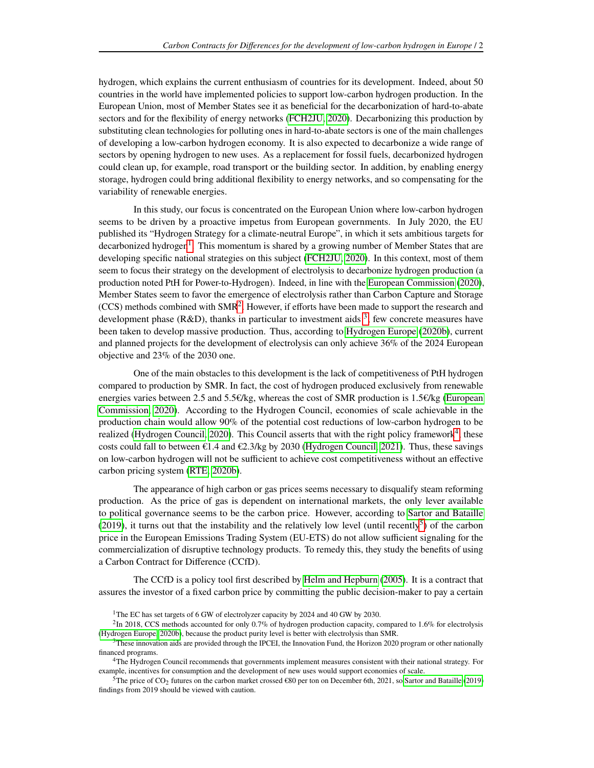hydrogen, which explains the current enthusiasm of countries for its development. Indeed, about 50 countries in the world have implemented policies to support low-carbon hydrogen production. In the European Union, most of Member States see it as beneficial for the decarbonization of hard-to-abate sectors and for the flexibility of energy networks [\(FCH2JU, 2020\)](#page-26-0). Decarbonizing this production by substituting clean technologies for polluting ones in hard-to-abate sectors is one of the main challenges of developing a low-carbon hydrogen economy. It is also expected to decarbonize a wide range of sectors by opening hydrogen to new uses. As a replacement for fossil fuels, decarbonized hydrogen could clean up, for example, road transport or the building sector. In addition, by enabling energy storage, hydrogen could bring additional flexibility to energy networks, and so compensating for the variability of renewable energies.

In this study, our focus is concentrated on the European Union where low-carbon hydrogen seems to be driven by a proactive impetus from European governments. In July 2020, the EU published its "Hydrogen Strategy for a climate-neutral Europe", in which it sets ambitious targets for decarbonized hydrogen<sup>[1](#page-0-0)</sup>. This momentum is shared by a growing number of Member States that are developing specific national strategies on this subject [\(FCH2JU, 2020\)](#page-26-0). In this context, most of them seem to focus their strategy on the development of electrolysis to decarbonize hydrogen production (a production noted PtH for Power-to-Hydrogen). Indeed, in line with the [European Commission](#page-26-1) [\(2020\)](#page-26-1), Member States seem to favor the emergence of electrolysis rather than Carbon Capture and Storage  $(CCS)$  methods combined with  $SMR<sup>2</sup>$  $SMR<sup>2</sup>$  $SMR<sup>2</sup>$ . However, if efforts have been made to support the research and development phase (R&D), thanks in particular to investment aids  $3$ , few concrete measures have been taken to develop massive production. Thus, according to [Hydrogen Europe](#page-27-1) [\(2020b\)](#page-27-1), current and planned projects for the development of electrolysis can only achieve 36% of the 2024 European objective and 23% of the 2030 one.

One of the main obstacles to this development is the lack of competitiveness of PtH hydrogen compared to production by SMR. In fact, the cost of hydrogen produced exclusively from renewable energies varies between 2.5 and 5.5€/kg, whereas the cost of SMR production is 1.5€/kg [\(European](#page-26-1) [Commission, 2020\)](#page-26-1). According to the Hydrogen Council, economies of scale achievable in the production chain would allow 90% of the potential cost reductions of low-carbon hydrogen to be realized [\(Hydrogen Council, 2020\)](#page-27-3). This Council asserts that with the right policy framework<sup>[4](#page-0-0)</sup>, these costs could fall to between  $\epsilon$ 1.4 and  $\epsilon$ 2.3/kg by 2030 [\(Hydrogen Council, 2021\)](#page-27-4). Thus, these savings on low-carbon hydrogen will not be sufficient to achieve cost competitiveness without an effective carbon pricing system [\(RTE, 2020b\)](#page-27-5).

The appearance of high carbon or gas prices seems necessary to disqualify steam reforming production. As the price of gas is dependent on international markets, the only lever available to political governance seems to be the carbon price. However, according to [Sartor and Bataille](#page-27-2) [\(2019\)](#page-27-2), it turns out that the instability and the relatively low level (until recently<sup>[5](#page-0-0)</sup>) of the carbon price in the European Emissions Trading System (EU-ETS) do not allow sufficient signaling for the commercialization of disruptive technology products. To remedy this, they study the benefits of using a Carbon Contract for Difference (CCfD).

The CCfD is a policy tool first described by [Helm and Hepburn](#page-27-6) [\(2005\)](#page-27-6). It is a contract that assures the investor of a fixed carbon price by committing the public decision-maker to pay a certain

<sup>&</sup>lt;sup>1</sup>The EC has set targets of 6 GW of electrolyzer capacity by 2024 and 40 GW by 2030.

 ${}^{2}$ In 2018, CCS methods accounted for only 0.7% of hydrogen production capacity, compared to 1.6% for electrolysis [\(Hydrogen Europe, 2020b\)](#page-27-1), because the product purity level is better with electrolysis than SMR.

<sup>&</sup>lt;sup>3</sup>These innovation aids are provided through the IPCEI, the Innovation Fund, the Horizon 2020 program or other nationally financed programs.

<sup>4</sup>The Hydrogen Council recommends that governments implement measures consistent with their national strategy. For example, incentives for consumption and the development of new uses would support economies of scale.

<sup>&</sup>lt;sup>5</sup>The price of CO<sub>2</sub> futures on the carbon market crossed  $\epsilon$ 80 per ton on December 6th, 2021, so [Sartor and Bataille](#page-27-2) [\(2019\)](#page-27-2) findings from 2019 should be viewed with caution.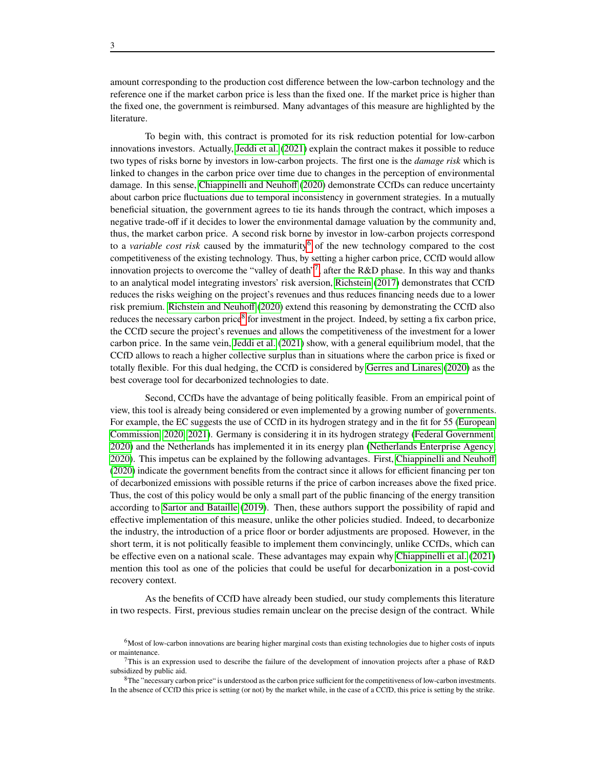amount corresponding to the production cost difference between the low-carbon technology and the reference one if the market carbon price is less than the fixed one. If the market price is higher than the fixed one, the government is reimbursed. Many advantages of this measure are highlighted by the literature.

To begin with, this contract is promoted for its risk reduction potential for low-carbon innovations investors. Actually, [Jeddi et al.](#page-27-7) [\(2021\)](#page-27-7) explain the contract makes it possible to reduce two types of risks borne by investors in low-carbon projects. The first one is the *damage risk* which is linked to changes in the carbon price over time due to changes in the perception of environmental damage. In this sense, [Chiappinelli and Neuhoff](#page-26-2) [\(2020\)](#page-26-2) demonstrate CCfDs can reduce uncertainty about carbon price fluctuations due to temporal inconsistency in government strategies. In a mutually beneficial situation, the government agrees to tie its hands through the contract, which imposes a negative trade-off if it decides to lower the environmental damage valuation by the community and, thus, the market carbon price. A second risk borne by investor in low-carbon projects correspond to a *variable cost risk* caused by the immaturity<sup>[6](#page-0-0)</sup> of the new technology compared to the cost competitiveness of the existing technology. Thus, by setting a higher carbon price, CCfD would allow innovation projects to overcome the "valley of death"<sup>[7](#page-0-0)</sup>, after the R&D phase. In this way and thanks to an analytical model integrating investors' risk aversion, [Richstein](#page-27-8) [\(2017\)](#page-27-8) demonstrates that CCfD reduces the risks weighing on the project's revenues and thus reduces financing needs due to a lower risk premium. [Richstein and Neuhoff](#page-27-9) [\(2020\)](#page-27-9) extend this reasoning by demonstrating the CCfD also reduces the necessary carbon price<sup>[8](#page-0-0)</sup> for investment in the project. Indeed, by setting a fix carbon price, the CCfD secure the project's revenues and allows the competitiveness of the investment for a lower carbon price. In the same vein, [Jeddi et al.](#page-27-7) [\(2021\)](#page-27-7) show, with a general equilibrium model, that the CCfD allows to reach a higher collective surplus than in situations where the carbon price is fixed or totally flexible. For this dual hedging, the CCfD is considered by [Gerres and Linares](#page-27-10) [\(2020\)](#page-27-10) as the best coverage tool for decarbonized technologies to date.

Second, CCfDs have the advantage of being politically feasible. From an empirical point of view, this tool is already being considered or even implemented by a growing number of governments. For example, the EC suggests the use of CCfD in its hydrogen strategy and in the fit for 55 [\(European](#page-26-1) [Commission, 2020,](#page-26-1) [2021\)](#page-26-3). Germany is considering it in its hydrogen strategy [\(Federal Government,](#page-26-4) [2020\)](#page-26-4) and the Netherlands has implemented it in its energy plan [\(Netherlands Enterprise Agency,](#page-27-11) [2020\)](#page-27-11). This impetus can be explained by the following advantages. First, [Chiappinelli and Neuhoff](#page-26-2) [\(2020\)](#page-26-2) indicate the government benefits from the contract since it allows for efficient financing per ton of decarbonized emissions with possible returns if the price of carbon increases above the fixed price. Thus, the cost of this policy would be only a small part of the public financing of the energy transition according to [Sartor and Bataille](#page-27-2) [\(2019\)](#page-27-2). Then, these authors support the possibility of rapid and effective implementation of this measure, unlike the other policies studied. Indeed, to decarbonize the industry, the introduction of a price floor or border adjustments are proposed. However, in the short term, it is not politically feasible to implement them convincingly, unlike CCfDs, which can be effective even on a national scale. These advantages may expain why [Chiappinelli et al.](#page-26-5) [\(2021\)](#page-26-5) mention this tool as one of the policies that could be useful for decarbonization in a post-covid recovery context.

As the benefits of CCfD have already been studied, our study complements this literature in two respects. First, previous studies remain unclear on the precise design of the contract. While

<sup>6</sup>Most of low-carbon innovations are bearing higher marginal costs than existing technologies due to higher costs of inputs or maintenance.

This is an expression used to describe the failure of the development of innovation projects after a phase of  $R&D$ subsidized by public aid.

 ${}^{8}$ The "necessary carbon price" is understood as the carbon price sufficient for the competitiveness of low-carbon investments. In the absence of CCfD this price is setting (or not) by the market while, in the case of a CCfD, this price is setting by the strike.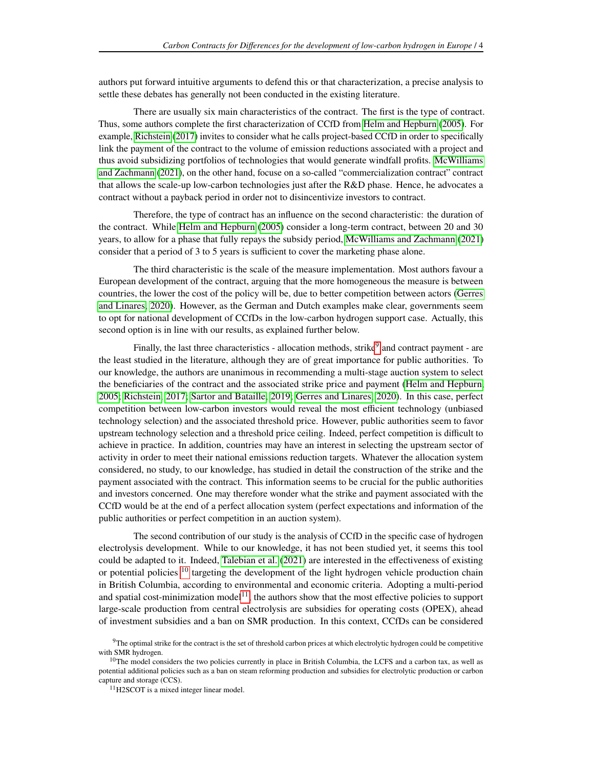authors put forward intuitive arguments to defend this or that characterization, a precise analysis to settle these debates has generally not been conducted in the existing literature.

There are usually six main characteristics of the contract. The first is the type of contract. Thus, some authors complete the first characterization of CCfD from [Helm and Hepburn](#page-27-6) [\(2005\)](#page-27-6). For example, [Richstein](#page-27-8) [\(2017\)](#page-27-8) invites to consider what he calls project-based CCfD in order to specifically link the payment of the contract to the volume of emission reductions associated with a project and thus avoid subsidizing portfolios of technologies that would generate windfall profits. [McWilliams](#page-27-12) [and Zachmann](#page-27-12) [\(2021\)](#page-27-12), on the other hand, focuse on a so-called "commercialization contract" contract that allows the scale-up low-carbon technologies just after the R&D phase. Hence, he advocates a contract without a payback period in order not to disincentivize investors to contract.

Therefore, the type of contract has an influence on the second characteristic: the duration of the contract. While [Helm and Hepburn](#page-27-6) [\(2005\)](#page-27-6) consider a long-term contract, between 20 and 30 years, to allow for a phase that fully repays the subsidy period, [McWilliams and Zachmann](#page-27-12) [\(2021\)](#page-27-12) consider that a period of 3 to 5 years is sufficient to cover the marketing phase alone.

The third characteristic is the scale of the measure implementation. Most authors favour a European development of the contract, arguing that the more homogeneous the measure is between countries, the lower the cost of the policy will be, due to better competition between actors [\(Gerres](#page-27-10) [and Linares, 2020\)](#page-27-10). However, as the German and Dutch examples make clear, governments seem to opt for national development of CCfDs in the low-carbon hydrogen support case. Actually, this second option is in line with our results, as explained further below.

Finally, the last three characteristics - allocation methods, strike<sup>[9](#page-0-0)</sup> and contract payment - are the least studied in the literature, although they are of great importance for public authorities. To our knowledge, the authors are unanimous in recommending a multi-stage auction system to select the beneficiaries of the contract and the associated strike price and payment [\(Helm and Hepburn,](#page-27-6) [2005;](#page-27-6) [Richstein, 2017;](#page-27-8) [Sartor and Bataille, 2019;](#page-27-2) [Gerres and Linares, 2020\)](#page-27-10). In this case, perfect competition between low-carbon investors would reveal the most efficient technology (unbiased technology selection) and the associated threshold price. However, public authorities seem to favor upstream technology selection and a threshold price ceiling. Indeed, perfect competition is difficult to achieve in practice. In addition, countries may have an interest in selecting the upstream sector of activity in order to meet their national emissions reduction targets. Whatever the allocation system considered, no study, to our knowledge, has studied in detail the construction of the strike and the payment associated with the contract. This information seems to be crucial for the public authorities and investors concerned. One may therefore wonder what the strike and payment associated with the CCfD would be at the end of a perfect allocation system (perfect expectations and information of the public authorities or perfect competition in an auction system).

The second contribution of our study is the analysis of CCfD in the specific case of hydrogen electrolysis development. While to our knowledge, it has not been studied yet, it seems this tool could be adapted to it. Indeed, [Talebian et al.](#page-27-13) [\(2021\)](#page-27-13) are interested in the effectiveness of existing or potential policies <sup>[10](#page-0-0)</sup> targeting the development of the light hydrogen vehicle production chain in British Columbia, according to environmental and economic criteria. Adopting a multi-period and spatial cost-minimization model<sup>[11](#page-0-0)</sup>, the authors show that the most effective policies to support large-scale production from central electrolysis are subsidies for operating costs (OPEX), ahead of investment subsidies and a ban on SMR production. In this context, CCfDs can be considered

 $9$ The optimal strike for the contract is the set of threshold carbon prices at which electrolytic hydrogen could be competitive with SMR hydrogen.

 $10$ The model considers the two policies currently in place in British Columbia, the LCFS and a carbon tax, as well as potential additional policies such as a ban on steam reforming production and subsidies for electrolytic production or carbon capture and storage (CCS).

<sup>11</sup>H2SCOT is a mixed integer linear model.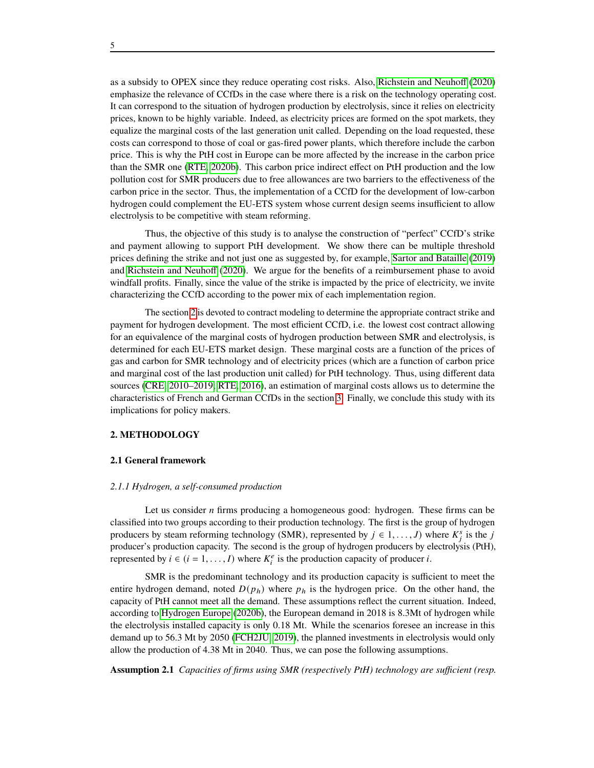as a subsidy to OPEX since they reduce operating cost risks. Also, [Richstein and Neuhoff](#page-27-9) [\(2020\)](#page-27-9) emphasize the relevance of CCfDs in the case where there is a risk on the technology operating cost. It can correspond to the situation of hydrogen production by electrolysis, since it relies on electricity prices, known to be highly variable. Indeed, as electricity prices are formed on the spot markets, they equalize the marginal costs of the last generation unit called. Depending on the load requested, these costs can correspond to those of coal or gas-fired power plants, which therefore include the carbon price. This is why the PtH cost in Europe can be more affected by the increase in the carbon price than the SMR one [\(RTE, 2020b\)](#page-27-5). This carbon price indirect effect on PtH production and the low pollution cost for SMR producers due to free allowances are two barriers to the effectiveness of the carbon price in the sector. Thus, the implementation of a CCfD for the development of low-carbon hydrogen could complement the EU-ETS system whose current design seems insufficient to allow electrolysis to be competitive with steam reforming.

Thus, the objective of this study is to analyse the construction of "perfect" CCfD's strike and payment allowing to support PtH development. We show there can be multiple threshold prices defining the strike and not just one as suggested by, for example, [Sartor and Bataille](#page-27-2) [\(2019\)](#page-27-2) and [Richstein and Neuhoff](#page-27-9) [\(2020\)](#page-27-9). We argue for the benefits of a reimbursement phase to avoid windfall profits. Finally, since the value of the strike is impacted by the price of electricity, we invite characterizing the CCfD according to the power mix of each implementation region.

The section [2](#page-4-0) is devoted to contract modeling to determine the appropriate contract strike and payment for hydrogen development. The most efficient CCfD, i.e. the lowest cost contract allowing for an equivalence of the marginal costs of hydrogen production between SMR and electrolysis, is determined for each EU-ETS market design. These marginal costs are a function of the prices of gas and carbon for SMR technology and of electricity prices (which are a function of carbon price and marginal cost of the last production unit called) for PtH technology. Thus, using different data sources [\(CRE, 2010–2019;](#page-26-6) [RTE, 2016\)](#page-27-14), an estimation of marginal costs allows us to determine the characteristics of French and German CCfDs in the section [3.](#page-11-0) Finally, we conclude this study with its implications for policy makers.

#### <span id="page-4-0"></span>**2. METHODOLOGY**

#### **2.1 General framework**

#### *2.1.1 Hydrogen, a self-consumed production*

Let us consider  $n$  firms producing a homogeneous good: hydrogen. These firms can be classified into two groups according to their production technology. The first is the group of hydrogen producers by steam reforming technology (SMR), represented by  $j \in 1, ..., J$ ) where  $K_j^s$  is the j producer's production capacity. The second is the group of hydrogen producers by electrolysis (PtH), represented by  $i \in (i = 1, ..., I)$  where  $K_i^e$  is the production capacity of producer i.

SMR is the predominant technology and its production capacity is sufficient to meet the entire hydrogen demand, noted  $D(p_h)$  where  $p_h$  is the hydrogen price. On the other hand, the capacity of PtH cannot meet all the demand. These assumptions reflect the current situation. Indeed, according to [Hydrogen Europe](#page-27-1) [\(2020b\)](#page-27-1), the European demand in 2018 is 8.3Mt of hydrogen while the electrolysis installed capacity is only 0.18 Mt. While the scenarios foresee an increase in this demand up to 56.3 Mt by 2050 [\(FCH2JU, 2019\)](#page-26-7), the planned investments in electrolysis would only allow the production of 4.38 Mt in 2040. Thus, we can pose the following assumptions.

<span id="page-4-1"></span>**Assumption 2.1** *Capacities of firms using SMR (respectively PtH) technology are sufficient (resp.*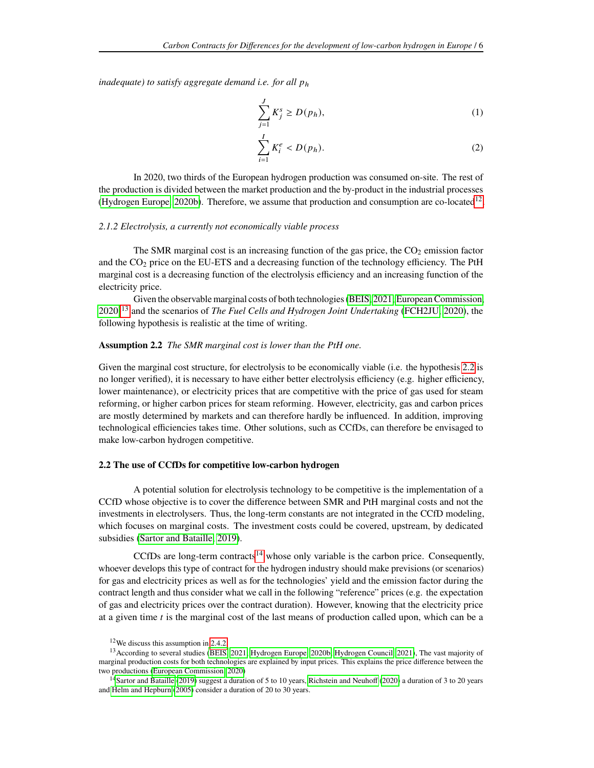*inadequate) to satisfy aggregate demand i.e. for all ph* 

$$
\sum_{j=1}^{J} K_j^s \ge D(p_h),\tag{1}
$$

$$
\sum_{i=1}^{I} K_i^e < D(p_h). \tag{2}
$$

In 2020, two thirds of the European hydrogen production was consumed on-site. The rest of the production is divided between the market production and the by-product in the industrial processes [\(Hydrogen Europe, 2020b\)](#page-27-1). Therefore, we assume that production and consumption are co-located<sup>[12](#page-0-0)</sup>.

### *2.1.2 Electrolysis, a currently not economically viable process*

The SMR marginal cost is an increasing function of the gas price, the  $CO<sub>2</sub>$  emission factor and the  $CO<sub>2</sub>$  price on the EU-ETS and a decreasing function of the technology efficiency. The PtH marginal cost is a decreasing function of the electrolysis efficiency and an increasing function of the electricity price.

Given the observable marginal costs of both technologies [\(BEIS, 2021;](#page-26-8) [European Commission,](#page-26-1) [2020\)](#page-26-1)[13](#page-0-0) and the scenarios of *The Fuel Cells and Hydrogen Joint Undertaking* [\(FCH2JU, 2020\)](#page-26-0), the following hypothesis is realistic at the time of writing.

## <span id="page-5-0"></span>**Assumption 2.2** *The SMR marginal cost is lower than the PtH one.*

Given the marginal cost structure, for electrolysis to be economically viable (i.e. the hypothesis [2.2](#page-5-0) is no longer verified), it is necessary to have either better electrolysis efficiency (e.g. higher efficiency, lower maintenance), or electricity prices that are competitive with the price of gas used for steam reforming, or higher carbon prices for steam reforming. However, electricity, gas and carbon prices are mostly determined by markets and can therefore hardly be influenced. In addition, improving technological efficiencies takes time. Other solutions, such as CCfDs, can therefore be envisaged to make low-carbon hydrogen competitive.

#### **2.2 The use of CCfDs for competitive low-carbon hydrogen**

A potential solution for electrolysis technology to be competitive is the implementation of a CCfD whose objective is to cover the difference between SMR and PtH marginal costs and not the investments in electrolysers. Thus, the long-term constants are not integrated in the CCfD modeling, which focuses on marginal costs. The investment costs could be covered, upstream, by dedicated subsidies [\(Sartor and Bataille, 2019\)](#page-27-2).

CCfDs are long-term contracts<sup>[14](#page-0-0)</sup> whose only variable is the carbon price. Consequently, whoever develops this type of contract for the hydrogen industry should make previsions (or scenarios) for gas and electricity prices as well as for the technologies' yield and the emission factor during the contract length and thus consider what we call in the following "reference" prices (e.g. the expectation of gas and electricity prices over the contract duration). However, knowing that the electricity price at a given time  $t$  is the marginal cost of the last means of production called upon, which can be a

<sup>&</sup>lt;sup>12</sup>We discuss this assumption in [2.4.2.](#page-10-0)

<sup>&</sup>lt;sup>13</sup> According to several studies [\(BEIS, 2021;](#page-26-8) [Hydrogen Europe, 2020b;](#page-27-1) [Hydrogen Council, 2021\)](#page-27-4), The vast majority of marginal production costs for both technologies are explained by input prices. This explains the price difference between the two productions [\(European Commission, 2020\)](#page-26-1)

<sup>&</sup>lt;sup>14</sup>[Sartor and Bataille](#page-27-2) [\(2019\)](#page-27-2) suggest a duration of 5 to 10 years, [Richstein and Neuhoff](#page-27-9) [\(2020\)](#page-27-9) a duration of 3 to 20 years and [Helm and Hepburn](#page-27-6) [\(2005\)](#page-27-6) consider a duration of 20 to 30 years.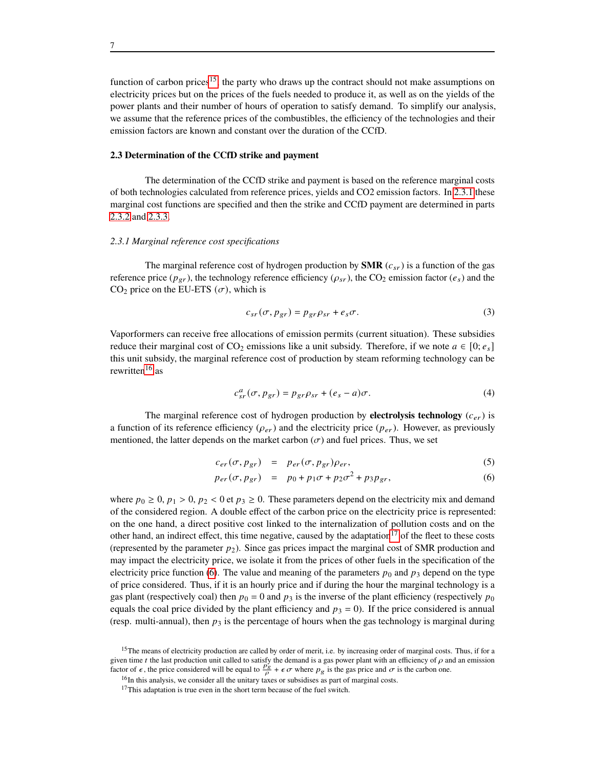function of carbon prices<sup>[15](#page-0-0)</sup>, the party who draws up the contract should not make assumptions on electricity prices but on the prices of the fuels needed to produce it, as well as on the yields of the power plants and their number of hours of operation to satisfy demand. To simplify our analysis, we assume that the reference prices of the combustibles, the efficiency of the technologies and their emission factors are known and constant over the duration of the CCfD.

#### **2.3 Determination of the CCfD strike and payment**

The determination of the CCfD strike and payment is based on the reference marginal costs of both technologies calculated from reference prices, yields and CO2 emission factors. In [2.3.1](#page-6-0) these marginal cost functions are specified and then the strike and CCfD payment are determined in parts [2.3.2](#page-7-0) and [2.3.3.](#page-9-0)

## <span id="page-6-0"></span>*2.3.1 Marginal reference cost specifications*

The marginal reference cost of hydrogen production by **SMR**  $(c_{sr})$  is a function of the gas reference price ( $p_{gr}$ ), the technology reference efficiency ( $\rho_{sr}$ ), the CO<sub>2</sub> emission factor ( $e_s$ ) and the CO<sub>2</sub> price on the EU-ETS  $(\sigma)$ , which is

<span id="page-6-2"></span>
$$
c_{sr}(\sigma, p_{gr}) = p_{gr} \rho_{sr} + e_s \sigma.
$$
 (3)

Vaporformers can receive free allocations of emission permits (current situation). These subsidies reduce their marginal cost of CO<sub>2</sub> emissions like a unit subsidy. Therefore, if we note  $a \in [0; e_s]$ this unit subsidy, the marginal reference cost of production by steam reforming technology can be rewritten<sup>[16](#page-0-0)</sup> as

$$
c_{sr}^a(\sigma, p_{gr}) = p_{gr}\rho_{sr} + (e_s - a)\sigma.
$$
 (4)

The marginal reference cost of hydrogen production by **electrolysis technology**  $(c_{er})$  is a function of its reference efficiency ( $\rho_{er}$ ) and the electricity price ( $p_{er}$ ). However, as previously mentioned, the latter depends on the market carbon  $(\sigma)$  and fuel prices. Thus, we set

<span id="page-6-1"></span>
$$
c_{er}(\sigma, p_{gr}) = p_{er}(\sigma, p_{gr})\rho_{er}, \qquad (5)
$$

$$
p_{er}(\sigma, p_{gr}) = p_0 + p_1 \sigma + p_2 \sigma^2 + p_3 p_{gr}, \qquad (6)
$$

where  $p_0 \ge 0$ ,  $p_1 > 0$ ,  $p_2 < 0$  et  $p_3 \ge 0$ . These parameters depend on the electricity mix and demand of the considered region. A double effect of the carbon price on the electricity price is represented: on the one hand, a direct positive cost linked to the internalization of pollution costs and on the other hand, an indirect effect, this time negative, caused by the adaptation<sup>[17](#page-0-0)</sup> of the fleet to these costs (represented by the parameter  $p_2$ ). Since gas prices impact the marginal cost of SMR production and may impact the electricity price, we isolate it from the prices of other fuels in the specification of the electricity price function [\(6\)](#page-6-1). The value and meaning of the parameters  $p_0$  and  $p_3$  depend on the type of price considered. Thus, if it is an hourly price and if during the hour the marginal technology is a gas plant (respectively coal) then  $p_0 = 0$  and  $p_3$  is the inverse of the plant efficiency (respectively  $p_0$ equals the coal price divided by the plant efficiency and  $p_3 = 0$ ). If the price considered is annual (resp. multi-annual), then  $p_3$  is the percentage of hours when the gas technology is marginal during

<sup>&</sup>lt;sup>15</sup>The means of electricity production are called by order of merit, i.e. by increasing order of marginal costs. Thus, if for a given time t the last production unit called to satisfy the demand is a gas power plant with an efficiency of  $\rho$  and an emission factor of  $\epsilon$ , the price considered will be equal to  $\frac{p_g}{\rho} + \epsilon \sigma$  where  $p_g$  is the g

 $^{16}$ In this analysis, we consider all the unitary taxes or subsidises as part of marginal costs.

<sup>&</sup>lt;sup>17</sup>This adaptation is true even in the short term because of the fuel switch.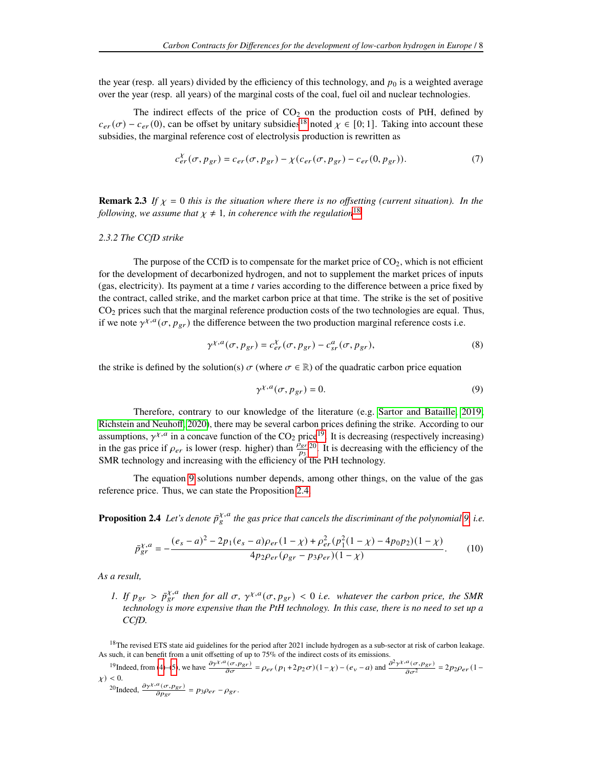the year (resp. all years) divided by the efficiency of this technology, and  $p_0$  is a weighted average over the year (resp. all years) of the marginal costs of the coal, fuel oil and nuclear technologies.

The indirect effects of the price of  $CO<sub>2</sub>$  on the production costs of PtH, defined by  $c_{er}(\sigma) - c_{er}(0)$ , can be offset by unitary subsidies<sup>[18](#page-0-0)</sup> noted  $\chi \in [0, 1]$ . Taking into account these subsidies, the marginal reference cost of electrolysis production is rewritten as

$$
c_{er}^{\chi}(\sigma, p_{gr}) = c_{er}(\sigma, p_{gr}) - \chi(c_{er}(\sigma, p_{gr}) - c_{er}(0, p_{gr})).
$$
\n(7)

**Remark 2.3** If  $\chi$  = 0 this is the situation where there is no offsetting (current situation). In the *following, we assume that*  $\chi \neq 1$ *, in coherence with the regulation*<sup>[18](#page-0-0)</sup>.

#### <span id="page-7-0"></span>*2.3.2 The CCfD strike*

The purpose of the CCfD is to compensate for the market price of  $CO<sub>2</sub>$ , which is not efficient for the development of decarbonized hydrogen, and not to supplement the market prices of inputs (gas, electricity). Its payment at a time  $t$  varies according to the difference between a price fixed by the contract, called strike, and the market carbon price at that time. The strike is the set of positive  $CO<sub>2</sub>$  prices such that the marginal reference production costs of the two technologies are equal. Thus, if we note  $\gamma^{\chi,a}(\sigma, p_{gr})$  the difference between the two production marginal reference costs i.e.

$$
\gamma^{\chi,a}(\sigma, p_{gr}) = c_{er}^{\chi}(\sigma, p_{gr}) - c_{sr}^a(\sigma, p_{gr}), \qquad (8)
$$

the strike is defined by the solution(s)  $\sigma$  (where  $\sigma \in \mathbb{R}$ ) of the quadratic carbon price equation

<span id="page-7-3"></span><span id="page-7-1"></span>
$$
\gamma^{\chi,a}(\sigma, p_{gr}) = 0. \tag{9}
$$

Therefore, contrary to our knowledge of the literature (e.g. [Sartor and Bataille, 2019;](#page-27-2) [Richstein and Neuhoff, 2020\)](#page-27-9), there may be several carbon prices defining the strike. According to our assumptions,  $\gamma^{\chi,a}$  in a concave function of the CO<sub>2</sub> price<sup>[19](#page-0-0)</sup>. It is decreasing (respectively increasing) in the gas price if  $\rho_{er}$  is lower (resp. higher) than  $\frac{\rho_{gr}}{\rho_3}$ <sup>[20](#page-0-0)</sup>. It is decreasing with the efficiency of the SMR technology and increasing with the efficiency of the PtH technology.

The equation [9](#page-7-1) solutions number depends, among other things, on the value of the gas reference price. Thus, we can state the Proposition [2.4.](#page-7-2)

<span id="page-7-2"></span>**Proposition 2.4** Let's denote  $\bar{p}_{g}^{\chi,a}$  the gas price that cancels the discriminant of the polynomial [9,](#page-7-1) i.e.

$$
\bar{p}_{gr}^{\chi,a} = -\frac{(e_s - a)^2 - 2p_1(e_s - a)\rho_{er}(1 - \chi) + \rho_{er}^2(p_1^2(1 - \chi) - 4p_0p_2)(1 - \chi)}{4p_2\rho_{er}(p_{gr} - p_3\rho_{er})(1 - \chi)}.
$$
(10)

*As a result,*

*1.* If  $p_{gr} > \bar{p}_{gr}^{\chi,a}$  then for all  $\sigma$ ,  $\gamma^{\chi,a}(\sigma, p_{gr}) < 0$  i.e. whatever the carbon price, the SMR *technology is more expensive than the PtH technology. In this case, there is no need to set up a CCfD.*

<sup>18</sup>The revised ETS state aid guidelines for the period after 2021 include hydrogen as a sub-sector at risk of carbon leakage. As such, it can benefit from a unit offsetting of up to 75% of the indirect costs of its emissions.

$$
{}^{19}\text{Indeed, from (4)-(5), we have } \frac{\partial \gamma^{\chi,a}(\sigma, p_{gr})}{\partial \sigma} = \rho_{er}(p_1 + 2p_2\sigma)(1 - \chi) - (e_v - a) \text{ and } \frac{\partial^2 \gamma^{\chi,a}(\sigma, p_{gr})}{\partial \sigma^2} = 2p_2\rho_{er}(1 - \chi) < 0.
$$

$$
{}^{20}\text{Indeed, }\frac{\partial \gamma^{\chi,a}(\sigma, p_{gr})}{\partial p_{gr}} = p_3 \rho_{er} - \rho_{gr}.
$$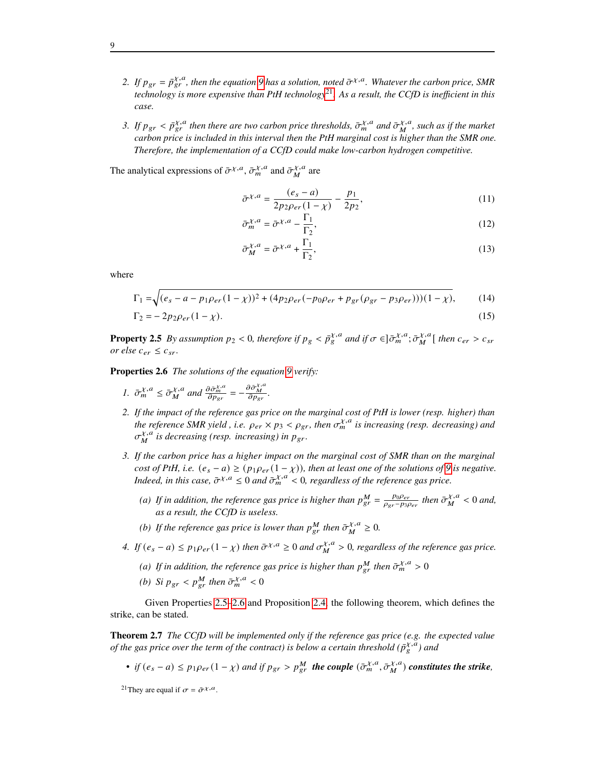- 2. If  $p_{gr} = \bar{p}_{gr}^{\chi,a}$ , then the equation [9](#page-7-1) has a solution, noted  $\bar{\sigma}^{\chi,a}$ . Whatever the carbon price, SMR *technology is more expensive than PtH technology*[21](#page-0-0)*. As a result, the CCfD is inefficient in this case.*
- 3. If  $p_{gr} < \bar{p}_{gr}^{\chi,a}$  then there are two carbon price thresholds,  $\bar{\sigma}_{m}^{\chi,a}$  and  $\bar{\sigma}_{M}^{\chi,a}$  $_{M}^{\chi, u}$ , such as if the market *carbon price is included in this interval then the PtH marginal cost is higher than the SMR one. Therefore, the implementation of a CCfD could make low-carbon hydrogen competitive.*
- The analytical expressions of  $\bar{\sigma}^{\chi,a}$ ,  $\bar{\sigma}^{\chi,a}_m$  and  $\bar{\sigma}^{\chi,a}_M$  $_M^{\chi, u}$  are

$$
\bar{\sigma}^{\chi,a} = \frac{(e_s - a)}{2p_2 \rho_{er}(1 - \chi)} - \frac{p_1}{2p_2},\tag{11}
$$

$$
\bar{\sigma}_{m}^{\chi,a} = \bar{\sigma}^{\chi,a} - \frac{\Gamma_1}{\Gamma_2},\tag{12}
$$

<span id="page-8-3"></span><span id="page-8-2"></span>
$$
\bar{\sigma}_{M}^{\chi,a} = \bar{\sigma}^{\chi,a} + \frac{\Gamma_1}{\Gamma_2},\tag{13}
$$

where

$$
\Gamma_1 = \sqrt{(e_s - a - p_1 \rho_{er}(1 - \chi))^2 + (4p_2 \rho_{er}(-p_0 \rho_{er} + p_{gr}(\rho_{gr} - p_3 \rho_{er}))) (1 - \chi)},
$$
(14)

$$
\Gamma_2 = -2p_2 \rho_{er} (1 - \chi). \tag{15}
$$

<span id="page-8-0"></span>**Property 2.5** *By assumption*  $p_2 < 0$ , therefore if  $p_g < \bar{p}_g^{\chi,a}$  and if  $\sigma \in ]\bar{\sigma}_m^{\chi,a};\bar{\sigma}_M^{\chi,a}$  $\chi^{X,a}_{M}$  [ then  $c_{er} > c_{sr}$ *or else*  $c_{er} \leq c_{sr}$ .

<span id="page-8-1"></span>**Properties 2.6** *The solutions of the equation [9](#page-7-1) verify:*

- *1.*  $\bar{\sigma}_{m}^{\chi,a} \leq \bar{\sigma}_{M}^{\chi,a}$  $\chi^{,\alpha}$  and  $\frac{\partial \bar{\sigma}_{m}^{\chi,a}}{\partial p_{\text{gr}}} = -\frac{\partial \bar{\sigma}_{m}^{\chi,a}}{\partial p_{\text{gr}}}$ .
- *2. If the impact of the reference gas price on the marginal cost of PtH is lower (resp. higher) than the reference SMR yield, i.e.*  $\rho_{er} \times p_3 < \rho_{gr}$ , then  $\sigma_m^{\chi,a}$  is increasing (resp. decreasing) and  $\sigma_M^{\chi,a}$  is decreasing (resp. increasing) in  $p_{gr}$ .
- *3. If the carbon price has a higher impact on the marginal cost of SMR than on the marginal cost of PtH, i.e.*  $(e_s - a) \ge (p_1 \rho_{er} (1 - \chi))$ *, then at least one of the solutions of* [9](#page-7-1) *is negative. Indeed, in this case,*  $\bar{\sigma}^{\chi,a} \leq 0$  *and*  $\bar{\sigma}^{\chi,a}_{m} < 0$ , regardless of the reference gas price.
	- (a) If in addition, the reference gas price is higher than  $p_{gr}^M = \frac{p_0 \rho_{er}}{Q_{cor} p_0}$  $\frac{p_0 \rho_{er}}{\rho_{gr}-p_3 \rho_{er}}$  then  $\bar{\sigma}_M^{\chi,a}$  $\frac{\chi, a}{M}$  < 0 and, *as a result, the CCfD is useless.*
	- (b) If the reference gas price is lower than  $p_{gr}^M$  then  $\bar{\sigma}_{M}^{\chi,a}$  $\frac{\chi, a}{M} \geq 0.$
- 4. If  $(e_s a) \leq p_1 \rho_{er} (1 \chi)$  then  $\bar{\sigma}^{\chi, a} \geq 0$  and  $\sigma_M^{\chi, a}$  $\frac{\chi,a}{M}>0$ , regardless of the reference gas price.
	- (a) If in addition, the reference gas price is higher than  $p_{gr}^M$  then  $\bar{\sigma}_{m}^{\chi,a} > 0$
	- (b) Si  $p_{gr} < p_{gr}^M$  then  $\bar{\sigma}_{m}^{\chi,a} < 0$

Given Properties [2.5](#page-8-0)[–2.6](#page-8-1) and Proposition [2.4,](#page-7-2) the following theorem, which defines the strike, can be stated.

**Theorem 2.7** *The CCfD will be implemented only if the reference gas price (e.g. the expected value of the gas price over the term of the contract) is below a certain threshold*  $(\bar{p}_{\xi}^{\chi,a})$  and

• *if*  $(e_s - a) \leq p_1 \rho_{er} (1 - \chi)$  and if  $p_{gr} > p_{gr}^M$  the couple  $(\bar{\sigma}_{m}^{\chi,a}, \bar{\sigma}_{M}^{\chi,a})$  $_{M}^{\chi,a})$  constitutes the strike,

<sup>21</sup> They are equal if  $\sigma = \bar{\sigma}^{\chi, a}$ .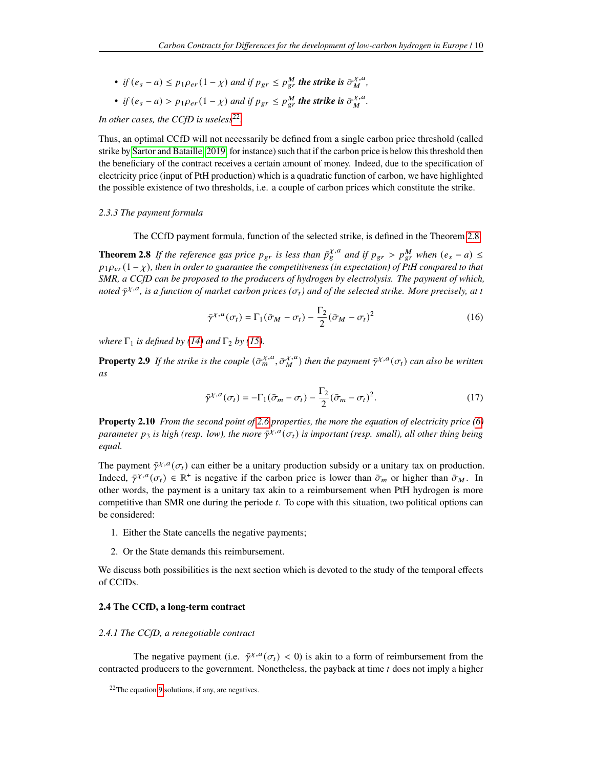• if 
$$
(e_s - a) \leq p_1 \rho_{er} (1 - \chi)
$$
 and if  $p_{gr} \leq p_{gr}^M$  the strike is  $\bar{\sigma}_M^{\chi,a}$ ,

• if 
$$
(e_s - a) > p_1 \rho_{er} (1 - \chi)
$$
 and if  $p_{gr} \leq p_{gr}^M$  the strike is  $\bar{\sigma}_M^{\chi,a}$ .

In other cases, the CCfD is useless<sup>[22](#page-0-0)</sup>.

Thus, an optimal CCfD will not necessarily be defined from a single carbon price threshold (called strike by [Sartor and Bataille, 2019,](#page-27-2) for instance) such that if the carbon price is below this threshold then the beneficiary of the contract receives a certain amount of money. Indeed, due to the specification of electricity price (input of PtH production) which is a quadratic function of carbon, we have highlighted the possible existence of two thresholds, i.e. a couple of carbon prices which constitute the strike.

## <span id="page-9-0"></span>*2.3.3 The payment formula*

The CCfD payment formula, function of the selected strike, is defined in the Theorem [2.8.](#page-9-1)

**Theorem 2.8** *If the reference gas price*  $p_{gr}$  *is less than*  $\bar{p}_{g}^{\chi,a}$  *and if*  $p_{gr} > p_{gr}^M$  *when*  $(e_s - a) \leq$  $p_1 \rho_{er} (1 - \chi)$ , then in order to guarantee the competitiveness (in expectation) of PtH compared to that *SMR, a CCfD can be proposed to the producers of hydrogen by electrolysis. The payment of which,* noted  $\bar{\gamma}^{\chi,a}$ , is a function of market carbon prices ( $\sigma_t$ ) and of the selected strike. More precisely, at t

<span id="page-9-3"></span><span id="page-9-1"></span>
$$
\bar{\gamma}^{\chi,a}(\sigma_t) = \Gamma_1(\bar{\sigma}_M - \sigma_t) - \frac{\Gamma_2}{2}(\bar{\sigma}_M - \sigma_t)^2
$$
\n(16)

*where*  $\Gamma_1$  *is defined by [\(14\)](#page-8-2) and*  $\Gamma_2$  *by [\(15\)](#page-8-3).* 

**Property 2.9** If the strike is the couple  $(\bar{\sigma}_{m}^{\chi,a}, \bar{\sigma}_{M}^{\chi,a})$  $_{M}^{\chi,a}$ ) then the payment  $\bar{\gamma}^{\chi,a}(\sigma_t)$  can also be written *as*

$$
\bar{\gamma}^{\chi,a}(\sigma_t) = -\Gamma_1(\bar{\sigma}_m - \sigma_t) - \frac{\Gamma_2}{2}(\bar{\sigma}_m - \sigma_t)^2.
$$
\n(17)

<span id="page-9-2"></span>**Property 2.10** *From the second point of [2.6](#page-8-1) properties, the more the equation of electricity price [\(6\)](#page-6-1)* parameter  $p_3$  is high (resp. low), the more  $\bar{\gamma}^{\chi, a}(\sigma_t)$  is important (resp. small), all other thing being *equal.*

The payment  $\bar{\gamma}^{\chi,a}(\sigma_t)$  can either be a unitary production subsidy or a unitary tax on production. Indeed,  $\bar{\gamma}^{\chi, a}(\sigma_t) \in \mathbb{R}^+$  is negative if the carbon price is lower than  $\bar{\sigma}_m$  or higher than  $\bar{\sigma}_M$ . In other words, the payment is a unitary tax akin to a reimbursement when PtH hydrogen is more competitive than SMR one during the periode  $t$ . To cope with this situation, two political options can be considered:

- 1. Either the State cancells the negative payments;
- 2. Or the State demands this reimbursement.

We discuss both possibilities is the next section which is devoted to the study of the temporal effects of CCfDs.

# **2.4 The CCfD, a long-term contract**

#### *2.4.1 The CCfD, a renegotiable contract*

The negative payment (i.e.  $\bar{\gamma}^{\chi,a}(\sigma_t) < 0$ ) is akin to a form of reimbursement from the contracted producers to the government. Nonetheless, the payback at time  $t$  does not imply a higher

<sup>22</sup>The equation [9](#page-7-1) solutions, if any, are negatives.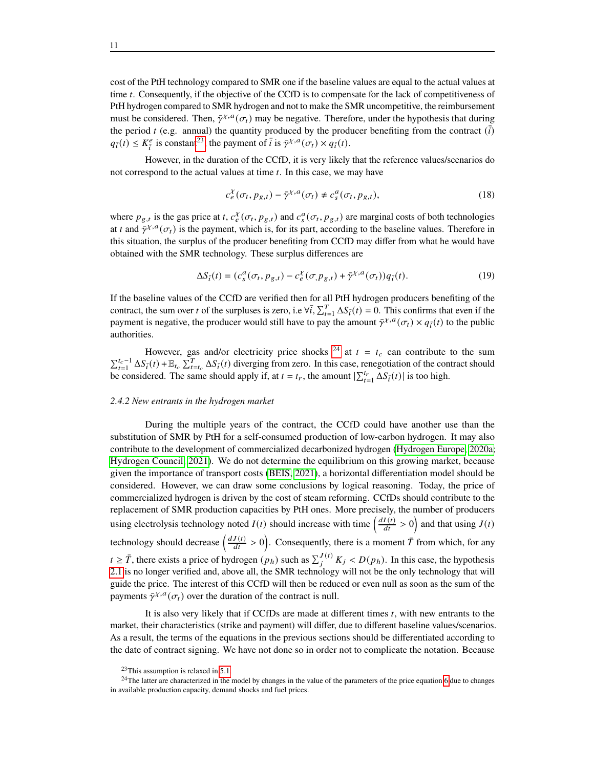cost of the PtH technology compared to SMR one if the baseline values are equal to the actual values at time  $t$ . Consequently, if the objective of the CCfD is to compensate for the lack of competitiveness of PtH hydrogen compared to SMR hydrogen and not to make the SMR uncompetitive, the reimbursement must be considered. Then,  $\bar{\gamma}^{\chi,a}(\sigma_t)$  may be negative. Therefore, under the hypothesis that during the period t (e.g. annual) the quantity produced by the producer benefiting from the contract  $(\bar{i})$  $q_{\overline{i}}(t) \leq K_{\overline{i}}^e$  $\frac{e}{i}$  is constant<sup>[23](#page-0-0)</sup>, the payment of  $\bar{i}$  is  $\bar{\gamma}^{\chi,a}(\sigma_t) \times q_{\bar{i}}(t)$ .

However, in the duration of the CCfD, it is very likely that the reference values/scenarios do not correspond to the actual values at time  $t$ . In this case, we may have

$$
c_{e}^{\chi}(\sigma_{t}, p_{g,t}) - \bar{\gamma}^{\chi, a}(\sigma_{t}) \neq c_{s}^{a}(\sigma_{t}, p_{g,t}),
$$
\n(18)

where  $p_{g,t}$  is the gas price at t,  $c_{e}^{x}(\sigma_t, p_{g,t})$  and  $c_{s}^{a}(\sigma_t, p_{g,t})$  are marginal costs of both technologies at t and  $\bar{\gamma}^{\chi,a}(\sigma_t)$  is the payment, which is, for its part, according to the baseline values. Therefore in this situation, the surplus of the producer benefiting from CCfD may differ from what he would have obtained with the SMR technology. These surplus differences are

$$
\Delta S_{\bar{i}}(t) = (c_s^a(\sigma_t, p_{g,t}) - c_e^{\chi}(\sigma, p_{g,t}) + \bar{\gamma}^{\chi, a}(\sigma_t))q_{\bar{i}}(t). \tag{19}
$$

If the baseline values of the CCfD are verified then for all PtH hydrogen producers benefiting of the contract, the sum over t of the surpluses is zero, i.e  $\forall \overline{i}, \sum_{t=1}^{T} \Delta S_{\overline{i}}(t) = 0$ . This confirms that even if the payment is negative, the producer would still have to pay the amount  $\bar{\gamma}^{\chi,a}(\sigma_t) \times q_{\bar{i}}(t)$  to the public authorities.

However, gas and/or electricity price shocks <sup>[24](#page-0-0)</sup> at  $t = t_c$  can contribute to the sum  $\sum_{t=1}^{t_c-1} \Delta S_{\bar{i}}(t) + \mathbb{E}_{t_c} \sum_{t=t_c}^{T} \Delta S_{\bar{i}}(t)$  diverging from zero. In this case, renegotiation of the contract should be considered. The same should apply if, at  $t = t_r$ , the amount  $\sum_{t=1}^{t_r} \Delta S_i(t)$  is too high.

#### <span id="page-10-0"></span>*2.4.2 New entrants in the hydrogen market*

During the multiple years of the contract, the CCfD could have another use than the substitution of SMR by PtH for a self-consumed production of low-carbon hydrogen. It may also contribute to the development of commercialized decarbonized hydrogen [\(Hydrogen Europe, 2020a;](#page-27-15) [Hydrogen Council, 2021\)](#page-27-4). We do not determine the equilibrium on this growing market, because given the importance of transport costs [\(BEIS, 2021\)](#page-26-8), a horizontal differentiation model should be considered. However, we can draw some conclusions by logical reasoning. Today, the price of commercialized hydrogen is driven by the cost of steam reforming. CCfDs should contribute to the replacement of SMR production capacities by PtH ones. More precisely, the number of producers using electrolysis technology noted  $I(t)$  should increase with time  $\left(\frac{dI(t)}{dt} > 0\right)$  and that using  $J(t)$ technology should decrease  $\left(\frac{dJ(t)}{dt} > 0\right)$ . Consequently, there is a moment  $\bar{T}$  from which, for any  $t \geq \bar{T}$ , there exists a price of hydrogen  $(p_h)$  such as  $\sum_{i}^{J(t)} K_j < D(p_h)$ . In this case, the hypothesis [2.1](#page-4-1) is no longer verified and, above all, the SMR technology will not be the only technology that will guide the price. The interest of this CCfD will then be reduced or even null as soon as the sum of the payments  $\bar{\gamma}^{\chi, a}(\sigma_t)$  over the duration of the contract is null.

It is also very likely that if CCfDs are made at different times  $t$ , with new entrants to the market, their characteristics (strike and payment) will differ, due to different baseline values/scenarios. As a result, the terms of the equations in the previous sections should be differentiated according to the date of contract signing. We have not done so in order not to complicate the notation. Because

 $23$ This assumption is relaxed in [5.1.](#page-20-0)

<sup>&</sup>lt;sup>24</sup>The latter are characterized in the model by changes in the value of the parameters of the price equation [6](#page-6-1) due to changes in available production capacity, demand shocks and fuel prices.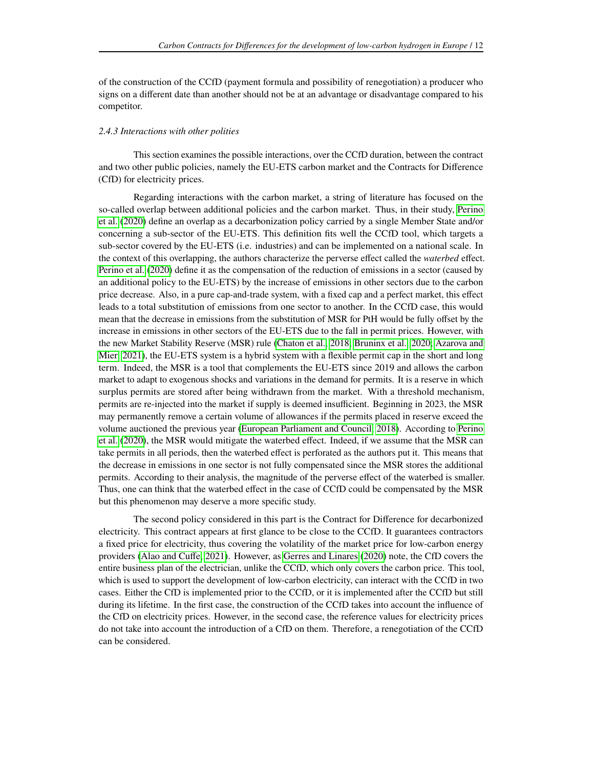of the construction of the CCfD (payment formula and possibility of renegotiation) a producer who signs on a different date than another should not be at an advantage or disadvantage compared to his competitor.

#### *2.4.3 Interactions with other polities*

This section examines the possible interactions, over the CCfD duration, between the contract and two other public policies, namely the EU-ETS carbon market and the Contracts for Difference (CfD) for electricity prices.

Regarding interactions with the carbon market, a string of literature has focused on the so-called overlap between additional policies and the carbon market. Thus, in their study, [Perino](#page-27-16) [et al.](#page-27-16) [\(2020\)](#page-27-16) define an overlap as a decarbonization policy carried by a single Member State and/or concerning a sub-sector of the EU-ETS. This definition fits well the CCfD tool, which targets a sub-sector covered by the EU-ETS (i.e. industries) and can be implemented on a national scale. In the context of this overlapping, the authors characterize the perverse effect called the *waterbed* effect. [Perino et al.](#page-27-16) [\(2020\)](#page-27-16) define it as the compensation of the reduction of emissions in a sector (caused by an additional policy to the EU-ETS) by the increase of emissions in other sectors due to the carbon price decrease. Also, in a pure cap-and-trade system, with a fixed cap and a perfect market, this effect leads to a total substitution of emissions from one sector to another. In the CCfD case, this would mean that the decrease in emissions from the substitution of MSR for PtH would be fully offset by the increase in emissions in other sectors of the EU-ETS due to the fall in permit prices. However, with the new Market Stability Reserve (MSR) rule [\(Chaton et al., 2018;](#page-26-9) [Bruninx et al., 2020;](#page-26-10) [Azarova and](#page-26-11) [Mier, 2021\)](#page-26-11), the EU-ETS system is a hybrid system with a flexible permit cap in the short and long term. Indeed, the MSR is a tool that complements the EU-ETS since 2019 and allows the carbon market to adapt to exogenous shocks and variations in the demand for permits. It is a reserve in which surplus permits are stored after being withdrawn from the market. With a threshold mechanism, permits are re-injected into the market if supply is deemed insufficient. Beginning in 2023, the MSR may permanently remove a certain volume of allowances if the permits placed in reserve exceed the volume auctioned the previous year [\(European Parliament and Council, 2018\)](#page-26-12). According to [Perino](#page-27-16) [et al.](#page-27-16) [\(2020\)](#page-27-16), the MSR would mitigate the waterbed effect. Indeed, if we assume that the MSR can take permits in all periods, then the waterbed effect is perforated as the authors put it. This means that the decrease in emissions in one sector is not fully compensated since the MSR stores the additional permits. According to their analysis, the magnitude of the perverse effect of the waterbed is smaller. Thus, one can think that the waterbed effect in the case of CCfD could be compensated by the MSR but this phenomenon may deserve a more specific study.

<span id="page-11-0"></span>The second policy considered in this part is the Contract for Difference for decarbonized electricity. This contract appears at first glance to be close to the CCfD. It guarantees contractors a fixed price for electricity, thus covering the volatility of the market price for low-carbon energy providers [\(Alao and Cuffe, 2021\)](#page-26-13). However, as [Gerres and Linares](#page-27-10) [\(2020\)](#page-27-10) note, the CfD covers the entire business plan of the electrician, unlike the CCfD, which only covers the carbon price. This tool, which is used to support the development of low-carbon electricity, can interact with the CCfD in two cases. Either the CfD is implemented prior to the CCfD, or it is implemented after the CCfD but still during its lifetime. In the first case, the construction of the CCfD takes into account the influence of the CfD on electricity prices. However, in the second case, the reference values for electricity prices do not take into account the introduction of a CfD on them. Therefore, a renegotiation of the CCfD can be considered.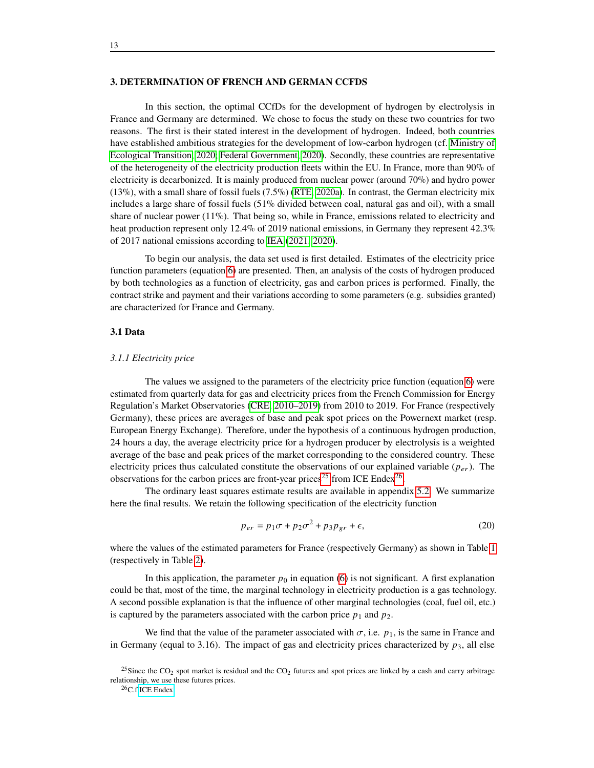#### **3. DETERMINATION OF FRENCH AND GERMAN CCFDS**

In this section, the optimal CCfDs for the development of hydrogen by electrolysis in France and Germany are determined. We chose to focus the study on these two countries for two reasons. The first is their stated interest in the development of hydrogen. Indeed, both countries have established ambitious strategies for the development of low-carbon hydrogen (cf. [Ministry of](#page-27-17) [Ecological Transition, 2020;](#page-27-17) [Federal Government, 2020\)](#page-26-4). Secondly, these countries are representative of the heterogeneity of the electricity production fleets within the EU. In France, more than 90% of electricity is decarbonized. It is mainly produced from nuclear power (around 70%) and hydro power (13%), with a small share of fossil fuels (7.5%) [\(RTE, 2020a\)](#page-27-18). In contrast, the German electricity mix includes a large share of fossil fuels (51% divided between coal, natural gas and oil), with a small share of nuclear power  $(11\%)$ . That being so, while in France, emissions related to electricity and heat production represent only 12.4% of 2019 national emissions, in Germany they represent 42.3% of 2017 national emissions according to [IEA](#page-27-19) [\(2021,](#page-27-19) [2020\)](#page-27-20).

To begin our analysis, the data set used is first detailed. Estimates of the electricity price function parameters (equation [6\)](#page-6-1) are presented. Then, an analysis of the costs of hydrogen produced by both technologies as a function of electricity, gas and carbon prices is performed. Finally, the contract strike and payment and their variations according to some parameters (e.g. subsidies granted) are characterized for France and Germany.

#### **3.1 Data**

#### <span id="page-12-1"></span>*3.1.1 Electricity price*

The values we assigned to the parameters of the electricity price function (equation [6\)](#page-6-1) were estimated from quarterly data for gas and electricity prices from the French Commission for Energy Regulation's Market Observatories [\(CRE, 2010–2019\)](#page-26-6) from 2010 to 2019. For France (respectively Germany), these prices are averages of base and peak spot prices on the Powernext market (resp. European Energy Exchange). Therefore, under the hypothesis of a continuous hydrogen production, 24 hours a day, the average electricity price for a hydrogen producer by electrolysis is a weighted average of the base and peak prices of the market corresponding to the considered country. These electricity prices thus calculated constitute the observations of our explained variable  $(p_{\rho r})$ . The observations for the carbon prices are front-year prices<sup>[25](#page-0-0)</sup> from ICE Endex<sup>[26](#page-0-0)</sup>.

The ordinary least squares estimate results are available in appendix [5.2.](#page-21-0) We summarize here the final results. We retain the following specification of the electricity function

<span id="page-12-0"></span>
$$
p_{er} = p_1 \sigma + p_2 \sigma^2 + p_3 p_{gr} + \epsilon,\tag{20}
$$

where the values of the estimated parameters for France (respectively Germany) as shown in Table [1](#page-13-0) (respectively in Table [2\)](#page-13-1).

In this application, the parameter  $p_0$  in equation [\(6\)](#page-6-1) is not significant. A first explanation could be that, most of the time, the marginal technology in electricity production is a gas technology. A second possible explanation is that the influence of other marginal technologies (coal, fuel oil, etc.) is captured by the parameters associated with the carbon price  $p_1$  and  $p_2$ .

We find that the value of the parameter associated with  $\sigma$ , i.e.  $p_1$ , is the same in France and in Germany (equal to 3.16). The impact of gas and electricity prices characterized by  $p_3$ , all else

<sup>&</sup>lt;sup>25</sup>Since the CO<sub>2</sub> spot market is residual and the CO<sub>2</sub> futures and spot prices are linked by a cash and carry arbitrage relationship, we use these futures prices.

<sup>26</sup>C.f [ICE Endex.](https://www.theice.com/products/4347999/EUAA-Futures/data?marketId=6501040&span=1)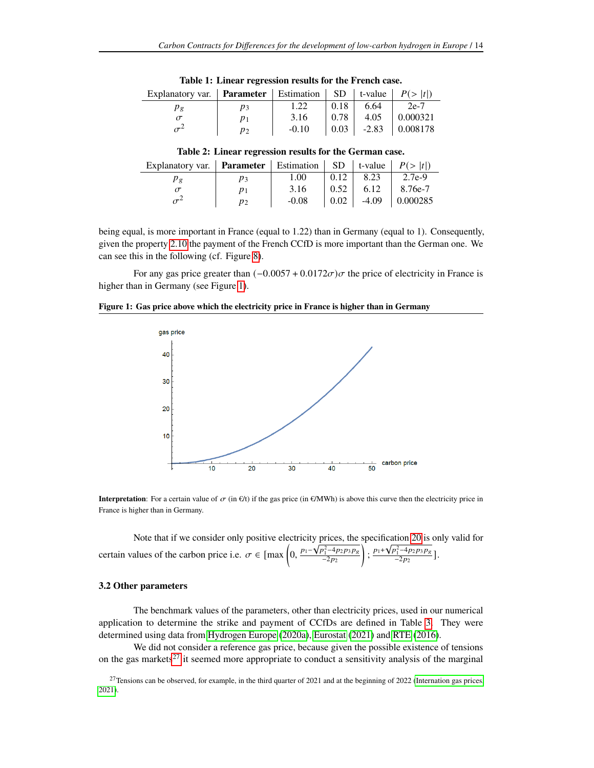<span id="page-13-0"></span>

| Explanatory var.   <b>Parameter</b>   Estimation   SD   t-value   $P(>  t )$ |         |      |         |          |
|------------------------------------------------------------------------------|---------|------|---------|----------|
| Pφ                                                                           | 1.22    | 0.18 | 6.64    | $2e-7$   |
|                                                                              | 3.16    | 0.78 | 4.05    | 0.000321 |
|                                                                              | $-0.10$ | 0.03 | $-2.83$ | 0.008178 |

**Table 1: Linear regression results for the French case.**

|  | Table 2: Linear regression results for the German case. |  |  |
|--|---------------------------------------------------------|--|--|
|  |                                                         |  |  |

<span id="page-13-1"></span>

| Explanatory var. <b>Parameter</b>   Estimation   SD   t-value   $P(>  t )$ |       |         |        |      |                           |
|----------------------------------------------------------------------------|-------|---------|--------|------|---------------------------|
| $\rho_g$                                                                   |       | 1.00    | 0.12   | 8.23 | $12.7e-9$                 |
|                                                                            |       | 3.16    | $0.52$ | 6.12 | $  8.76e-7$               |
| $\sigma^2$                                                                 | $p_2$ | $-0.08$ |        |      | $0.02$   -4.09   0.000285 |

being equal, is more important in France (equal to 1.22) than in Germany (equal to 1). Consequently, given the property [2.10](#page-9-2) the payment of the French CCfD is more important than the German one. We can see this in the following (cf. Figure [8\)](#page-18-0).

For any gas price greater than  $(-0.0057 + 0.0172\sigma)\sigma$  the price of electricity in France is higher than in Germany (see Figure [1\)](#page-13-2).

<span id="page-13-2"></span>

|  | Figure 1: Gas price above which the electricity price in France is higher than in Germany |
|--|-------------------------------------------------------------------------------------------|
|  |                                                                                           |



**Interpretation**: For a certain value of  $\sigma$  (in  $\epsilon$ /t) if the gas price (in  $\epsilon$ /MWh) is above this curve then the electricity price in France is higher than in Germany.

Note that if we consider only positive electricity prices, the specification [20](#page-12-0) is only valid for certain values of the carbon price i.e.  $\sigma \in \left[\max\left(0, \frac{p_1 - \sqrt{p_1^2 - 4p_2p_3p_8}}{2p_3}\right)\right]$  $-2p_2$  $\frac{p_1 + \sqrt{p_1^2 - 4p_2p_3p_8}}{-2p_3}$  $\frac{\nu_1 - \nu_2 \nu_3 \nu_8}{-2 \rho_2}$ ].

#### **3.2 Other parameters**

The benchmark values of the parameters, other than electricity prices, used in our numerical application to determine the strike and payment of CCfDs are defined in Table [3.](#page-14-0) They were determined using data from [Hydrogen Europe](#page-27-15) [\(2020a\)](#page-27-15), [Eurostat](#page-26-14) [\(2021\)](#page-26-14) and [RTE](#page-27-14) [\(2016\)](#page-27-14).

We did not consider a reference gas price, because given the possible existence of tensions on the gas markets<sup>[27](#page-0-0)</sup> it seemed more appropriate to conduct a sensitivity analysis of the marginal

 $27$ Tensions can be observed, for example, in the third quarter of 2021 and at the beginning of 2022 [\(Internation gas prices,](#page-27-21) [2021\)](#page-27-21).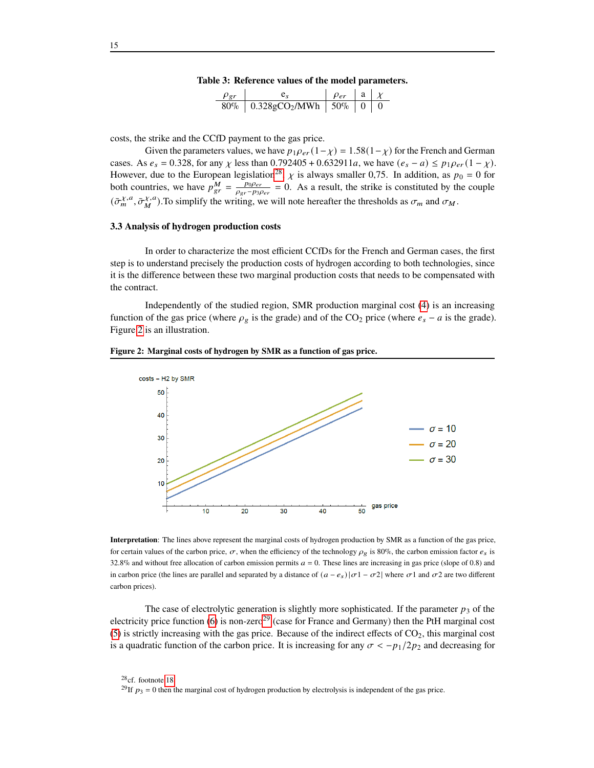|  |  | Table 3: Reference values of the model parameters. |
|--|--|----------------------------------------------------|
|  |  |                                                    |

| $\rho_{gr}$ |                                                | $\rho_{er}$ |  |
|-------------|------------------------------------------------|-------------|--|
|             | $80\%$   0.328gCO <sub>2</sub> /MWh   50\%   0 |             |  |

<span id="page-14-0"></span>costs, the strike and the CCfD payment to the gas price.

Given the parameters values, we have  $p_1 \rho_{er} (1 - \chi) = 1.58(1 - \chi)$  for the French and German cases. As  $e_s = 0.328$ , for any  $\chi$  less than 0.792405 + 0.632911*a*, we have  $(e_s - a) \leq p_1 \rho_{er} (1 - \chi)$ . However, due to the European legislation<sup>[28](#page-0-0)</sup>,  $\chi$  is always smaller 0,75. In addition, as  $p_0 = 0$  for both countries, we have  $p_{gr}^{M} = \frac{p_{0}p_{er}}{q_{0}p_{0}}$  $\frac{p_0 p_{er}}{p_{gr}-p_3 p_{er}}$  = 0. As a result, the strike is constituted by the couple  $(\bar{\sigma}_{m}^{\chi,a},\bar{\sigma}_{M}^{\chi,a})$  $_{M}^{\chi,a}$ ). To simplify the writing, we will note hereafter the thresholds as  $\sigma_m$  and  $\sigma_M$ .

#### **3.3 Analysis of hydrogen production costs**

In order to characterize the most efficient CCfDs for the French and German cases, the first step is to understand precisely the production costs of hydrogen according to both technologies, since it is the difference between these two marginal production costs that needs to be compensated with the contract.

Independently of the studied region, SMR production marginal cost [\(4\)](#page-6-2) is an increasing function of the gas price (where  $\rho_g$  is the grade) and of the CO<sub>2</sub> price (where  $e_s - a$  is the grade). Figure [2](#page-14-1) is an illustration.



<span id="page-14-1"></span>**Figure 2: Marginal costs of hydrogen by SMR as a function of gas price.**

**Interpretation**: The lines above represent the marginal costs of hydrogen production by SMR as a function of the gas price, for certain values of the carbon price,  $\sigma$ , when the efficiency of the technology  $\rho_g$  is 80%, the carbon emission factor  $e_s$  is 32.8% and without free allocation of carbon emission permits  $a = 0$ . These lines are increasing in gas price (slope of 0.8) and in carbon price (the lines are parallel and separated by a distance of  $(a - e_s)|\sigma 1 - \sigma 2|$  where  $\sigma 1$  and  $\sigma 2$  are two different carbon prices).

The case of electrolytic generation is slightly more sophisticated. If the parameter  $p_3$  of the electricity price function [\(6\)](#page-6-1) is non-zero<sup>[29](#page-0-0)</sup> (case for France and Germany) then the PtH marginal cost [\(5\)](#page-6-1) is strictly increasing with the gas price. Because of the indirect effects of  $CO<sub>2</sub>$ , this marginal cost is a quadratic function of the carbon price. It is increasing for any  $\sigma < -p_1/2p_2$  and decreasing for

<sup>28</sup>cf. footnote [18.](#page-6-1)

<sup>&</sup>lt;sup>29</sup>If  $p_3 = 0$  then the marginal cost of hydrogen production by electrolysis is independent of the gas price.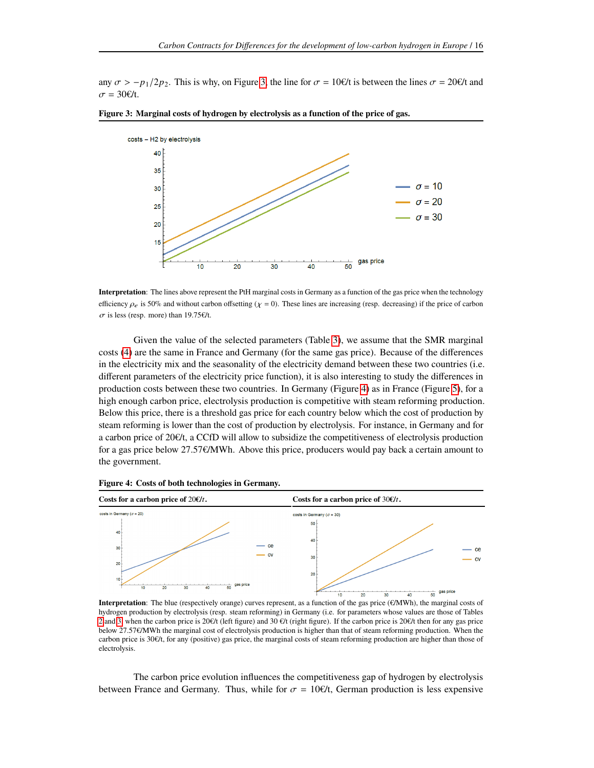any  $\sigma > -p_1/2p_2$ . This is why, on Figure [3,](#page-15-0) the line for  $\sigma = 10 \ell/t$  is between the lines  $\sigma = 20 \ell/t$  and  $\sigma = 30 \epsilon/t$ .



<span id="page-15-0"></span>

**Interpretation**: The lines above represent the PtH marginal costs in Germany as a function of the gas price when the technology efficiency  $\rho_e$  is 50% and without carbon offsetting ( $\chi = 0$ ). These lines are increasing (resp. decreasing) if the price of carbon  $\sigma$  is less (resp. more) than 19.75€/t.

Given the value of the selected parameters (Table [3\)](#page-14-0), we assume that the SMR marginal costs [\(4\)](#page-6-2) are the same in France and Germany (for the same gas price). Because of the differences in the electricity mix and the seasonality of the electricity demand between these two countries (i.e. different parameters of the electricity price function), it is also interesting to study the differences in production costs between these two countries. In Germany (Figure [4\)](#page-15-1) as in France (Figure [5\)](#page-16-0), for a high enough carbon price, electrolysis production is competitive with steam reforming production. Below this price, there is a threshold gas price for each country below which the cost of production by steam reforming is lower than the cost of production by electrolysis. For instance, in Germany and for a carbon price of 20€/t, a CCfD will allow to subsidize the competitiveness of electrolysis production for a gas price below 27.57€/MWh. Above this price, producers would pay back a certain amount to the government.



<span id="page-15-1"></span>**Figure 4: Costs of both technologies in Germany.**

**Interpretation**: The blue (respectively orange) curves represent, as a function of the gas price (€/MWh), the marginal costs of hydrogen production by electrolysis (resp. steam reforming) in Germany (i.e. for parameters whose values are those of Tables [2](#page-13-1) and [3,](#page-14-0) when the carbon price is 20€/t (left figure) and 30 €/t (right figure). If the carbon price is 20€/t then for any gas price below 27.57€/MWh the marginal cost of electrolysis production is higher than that of steam reforming production. When the carbon price is 30€/t, for any (positive) gas price, the marginal costs of steam reforming production are higher than those of electrolysis.

The carbon price evolution influences the competitiveness gap of hydrogen by electrolysis between France and Germany. Thus, while for  $\sigma = 10 \ell/t$ , German production is less expensive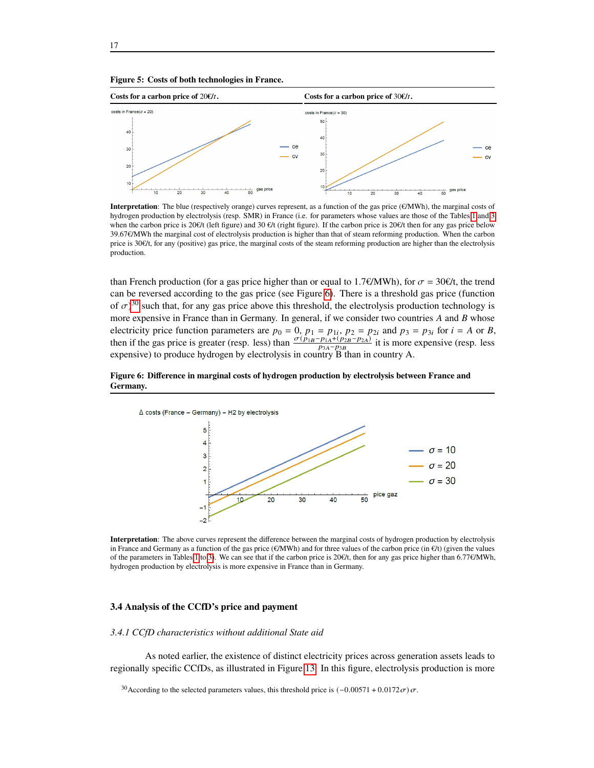<span id="page-16-0"></span>

**Interpretation**: The blue (respectively orange) curves represent, as a function of the gas price (€/MWh), the marginal costs of hydrogen production by electrolysis (resp. SMR) in France (i.e. for parameters whose values are those of the Tables [1](#page-13-0) and [3](#page-14-0) when the carbon price is 20€/t (left figure) and 30 €/t (right figure). If the carbon price is 20€/t then for any gas price below 39.67€/MWh the marginal cost of electrolysis production is higher than that of steam reforming production. When the carbon price is  $30\epsilon/t$ , for any (positive) gas price, the marginal costs of the steam reforming production are higher than the electrolysis production.

than French production (for a gas price higher than or equal to 1.7€/MWh), for  $\sigma = 30 \text{E/t}$ , the trend can be reversed according to the gas price (see Figure [6\)](#page-16-1). There is a threshold gas price (function of  $\sigma$ )<sup>[30](#page-0-0)</sup> such that, for any gas price above this threshold, the electrolysis production technology is more expensive in France than in Germany. In general, if we consider two countries  $A$  and  $B$  whose electricity price function parameters are  $p_0 = 0$ ,  $p_1 = p_{1i}$ ,  $p_2 = p_{2i}$  and  $p_3 = p_{3i}$  for  $i = A$  or B, then if the gas price is greater (resp. less) than  $\frac{\sigma(p_{1B}-p_{1A}+(p_{2B}-p_{2A})}{p_{2A}-p_{2B}}$  it is more expensive (resp. less  $p_{3A}-p_{3B}$ expensive) to produce hydrogen by electrolysis in country B than in country A.

#### <span id="page-16-1"></span>**Figure 6: Difference in marginal costs of hydrogen production by electrolysis between France and Germany.**



**Interpretation**: The above curves represent the difference between the marginal costs of hydrogen production by electrolysis in France and Germany as a function of the gas price (€/MWh) and for three values of the carbon price (in €/t) (given the values of the parameters in Tables [1](#page-13-0) to [3\)](#page-14-0). We can see that if the carbon price is 20€/t, then for any gas price higher than 6.77€/MWh, hydrogen production by electrolysis is more expensive in France than in Germany.

# **3.4 Analysis of the CCfD's price and payment**

#### *3.4.1 CCfD characteristics without additional State aid*

As noted earlier, the existence of distinct electricity prices across generation assets leads to regionally specific CCfDs, as illustrated in Figure [13.](#page-24-0) In this figure, electrolysis production is more

<sup>&</sup>lt;sup>30</sup>According to the selected parameters values, this threshold price is  $(-0.00571 + 0.0172\sigma)\sigma$ .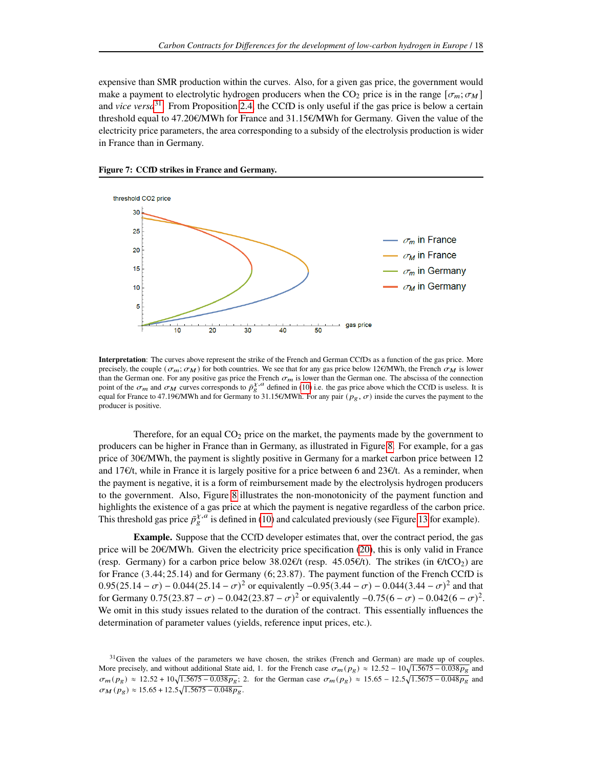expensive than SMR production within the curves. Also, for a given gas price, the government would make a payment to electrolytic hydrogen producers when the CO<sub>2</sub> price is in the range  $[\sigma_m; \sigma_M]$ and *vice versa*[31](#page-0-0). From Proposition [2.4,](#page-7-2) the CCfD is only useful if the gas price is below a certain threshold equal to 47.20€/MWh for France and 31.15€/MWh for Germany. Given the value of the electricity price parameters, the area corresponding to a subsidy of the electrolysis production is wider in France than in Germany.



**Figure 7: CCfD strikes in France and Germany.**

**Interpretation**: The curves above represent the strike of the French and German CCfDs as a function of the gas price. More precisely, the couple ( $\sigma_m$ ;  $\sigma_M$ ) for both countries. We see that for any gas price below 12€/MWh, the French  $\sigma_M$  is lower than the German one. For any positive gas price the French  $\sigma_m$  is lower than the German one. The abscissa of the connection point of the  $\sigma_m$  and  $\sigma_M$  curves corresponds to  $\bar{p}_s^{X,A}$  defined in [\(10\)](#page-7-3) i.e. the gas price above which the CCfD is useless. It is equal for France to 47.19€/MWh and for Germany to 31.15€/MWh. For any pair ( $p<sub>°</sub>$ ,  $\sigma$ ) inside the curves the payment to the producer is positive.

Therefore, for an equal  $CO<sub>2</sub>$  price on the market, the payments made by the government to producers can be higher in France than in Germany, as illustrated in Figure [8.](#page-18-0) For example, for a gas price of 30€/MWh, the payment is slightly positive in Germany for a market carbon price between 12 and 17€/t, while in France it is largely positive for a price between 6 and 23€/t. As a reminder, when the payment is negative, it is a form of reimbursement made by the electrolysis hydrogen producers to the government. Also, Figure [8](#page-18-0) illustrates the non-monotonicity of the payment function and highlights the existence of a gas price at which the payment is negative regardless of the carbon price. This threshold gas price  $\bar{p}_{g}^{\chi,a}$  is defined in [\(10\)](#page-7-3) and calculated previously (see Figure [13](#page-24-0) for example).

**Example.** Suppose that the CCfD developer estimates that, over the contract period, the gas price will be 20€/MWh. Given the electricity price specification [\(20\)](#page-12-0), this is only valid in France (resp. Germany) for a carbon price below  $38.02 \ell/t$  (resp. 45.05 $\ell/t$ ). The strikes (in  $\ell/tCO_2$ ) are for France (3.44; 25.14) and for Germany (6; 23.87). The payment function of the French CCfD is  $0.95(25.14 - \sigma) - 0.044(25.14 - \sigma)^2$  or equivalently  $-0.95(3.44 - \sigma) - 0.044(3.44 - \sigma)^2$  and that for Germany  $0.75(23.87 - \sigma) - 0.042(23.87 - \sigma)^2$  or equivalently  $-0.75(6 - \sigma) - 0.042(6 - \sigma)^2$ . We omit in this study issues related to the duration of the contract. This essentially influences the determination of parameter values (yields, reference input prices, etc.).

<sup>&</sup>lt;sup>31</sup>Given the values of the parameters we have chosen, the strikes (French and German) are made up of couples. More precisely, and without additional State aid, 1. for the French case  $\sigma_m(p_g) \approx 12.52 - 10\sqrt{1.5675 - 0.038p_g}$  and  $\sigma_m(p_g) \approx 12.52 + 10\sqrt{1.5675 - 0.038p_g}$ ; 2. for the German case  $\sigma_m(p_g) \approx 15.65 - 12.5\sqrt{1.5675 - 0.048p_g}$  and  $\sigma_M(p_g) \approx 15.65 + 12.5\sqrt{1.5675 - 0.048p_g}$ .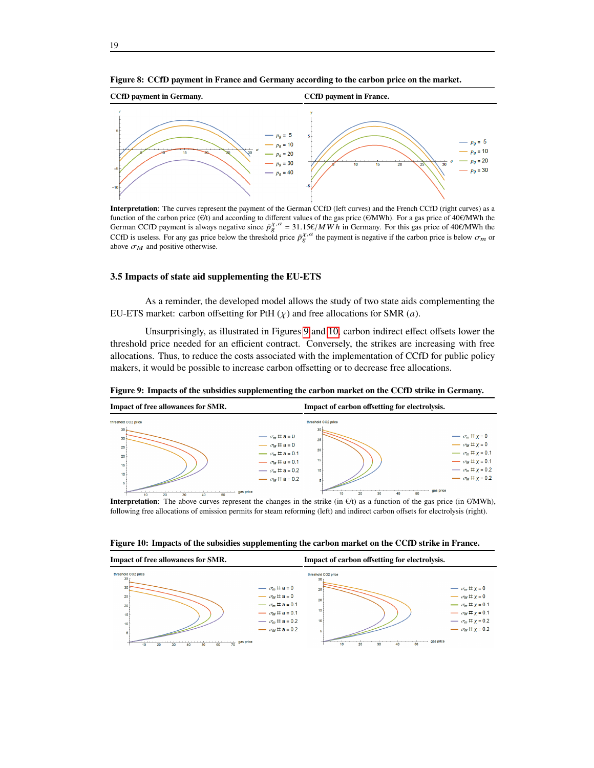

**Interpretation**: The curves represent the payment of the German CCfD (left curves) and the French CCfD (right curves) as a function of the carbon price ( $\epsilon \hat{U}$ t) and according to different values of the gas price ( $\epsilon$ /MWh). For a gas price of 40 $\epsilon$ /MWh the German CCfD payment is always negative since  $\bar{p}_{\epsilon}^{\chi,a} = 31.15 \epsilon/MWh$  in Germany. For this gas price of 40€/MWh the CCfD is useless. For any gas price below the threshold price  $\bar{p}_{g}^{\chi,a}$  the payment is negative if the carbon price is below  $\sigma_m$  or above  $\sigma_M$  and positive otherwise.

## **3.5 Impacts of state aid supplementing the EU-ETS**

As a reminder, the developed model allows the study of two state aids complementing the EU-ETS market: carbon offsetting for PtH  $(\chi)$  and free allocations for SMR  $(a)$ .

Unsurprisingly, as illustrated in Figures [9](#page-18-1) and [10,](#page-18-2) carbon indirect effect offsets lower the threshold price needed for an efficient contract. Conversely, the strikes are increasing with free allocations. Thus, to reduce the costs associated with the implementation of CCfD for public policy makers, it would be possible to increase carbon offsetting or to decrease free allocations.

| Impact of free allowances for SMR. |                                                                                                | Impact of carbon offsetting for electrolysis. |                                                                                           |
|------------------------------------|------------------------------------------------------------------------------------------------|-----------------------------------------------|-------------------------------------------------------------------------------------------|
| threshold CO2 price<br>35          | threshold CO2 price<br>30                                                                      |                                               |                                                                                           |
| $30+$<br>25                        | $\longrightarrow \sigma_m \boxplus a = 0$<br>25<br>$\rightarrow \sigma_M \boxplus a = 0$<br>20 |                                               | $\rightarrow$ $\sigma_m \boxplus \chi = 0$<br>$\rightarrow \sigma_M \boxplus x = 0$       |
| 20<br>15                           | $\rightarrow \sigma_m \boxplus a = 0.1$<br>15<br>$\rightarrow \sigma_M \boxplus a = 0.1$       |                                               | $\rightarrow$ $\sigma_m \boxplus x = 0.1$<br>$\rightarrow$ $\sigma_M \boxplus x = 0.1$    |
| 10<br>5                            | $\rightarrow \sigma_m \boxplus a = 0.2$<br>10<br>$\rightarrow \sigma_M \boxplus a = 0.2$       |                                               | $\rightarrow$ $\sigma_m \boxplus \chi = 0.2$<br>$\rightarrow$ $\sigma_M \boxplus x = 0.2$ |
| 50<br>20<br>30<br>40<br>10         | gas price                                                                                      | 50<br>20<br>30<br>40<br>10                    | gas price                                                                                 |

<span id="page-18-1"></span>**Figure 9: Impacts of the subsidies supplementing the carbon market on the CCfD strike in Germany.**

**Interpretation**: The above curves represent the changes in the strike (in  $\epsilon$ /t) as a function of the gas price (in  $\epsilon$ /MWh), following free allocations of emission permits for steam reforming (left) and indirect carbon offsets for electrolysis (right).

<span id="page-18-2"></span>**Figure 10: Impacts of the subsidies supplementing the carbon market on the CCfD strike in France.**



<span id="page-18-0"></span>**Figure 8: CCfD payment in France and Germany according to the carbon price on the market.**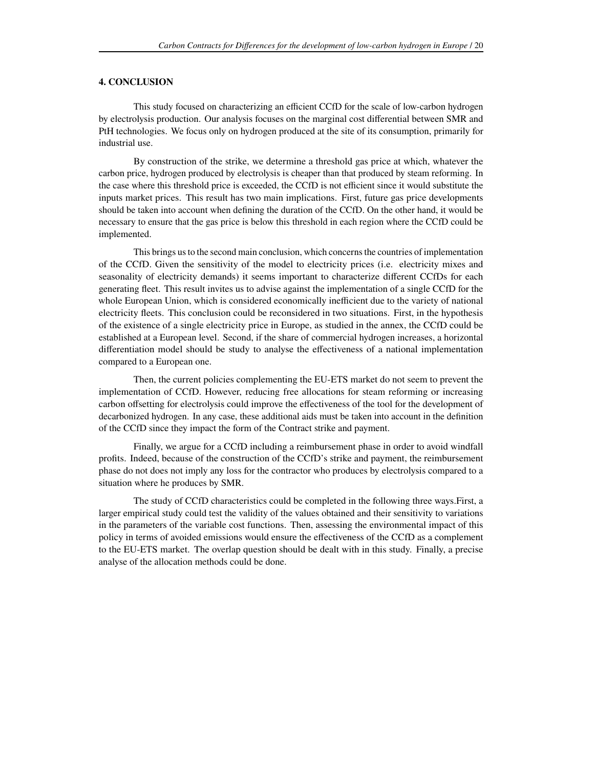### **4. CONCLUSION**

This study focused on characterizing an efficient CCfD for the scale of low-carbon hydrogen by electrolysis production. Our analysis focuses on the marginal cost differential between SMR and PtH technologies. We focus only on hydrogen produced at the site of its consumption, primarily for industrial use.

By construction of the strike, we determine a threshold gas price at which, whatever the carbon price, hydrogen produced by electrolysis is cheaper than that produced by steam reforming. In the case where this threshold price is exceeded, the CCfD is not efficient since it would substitute the inputs market prices. This result has two main implications. First, future gas price developments should be taken into account when defining the duration of the CCfD. On the other hand, it would be necessary to ensure that the gas price is below this threshold in each region where the CCfD could be implemented.

This brings us to the second main conclusion, which concerns the countries of implementation of the CCfD. Given the sensitivity of the model to electricity prices (i.e. electricity mixes and seasonality of electricity demands) it seems important to characterize different CCfDs for each generating fleet. This result invites us to advise against the implementation of a single CCfD for the whole European Union, which is considered economically inefficient due to the variety of national electricity fleets. This conclusion could be reconsidered in two situations. First, in the hypothesis of the existence of a single electricity price in Europe, as studied in the annex, the CCfD could be established at a European level. Second, if the share of commercial hydrogen increases, a horizontal differentiation model should be study to analyse the effectiveness of a national implementation compared to a European one.

Then, the current policies complementing the EU-ETS market do not seem to prevent the implementation of CCfD. However, reducing free allocations for steam reforming or increasing carbon offsetting for electrolysis could improve the effectiveness of the tool for the development of decarbonized hydrogen. In any case, these additional aids must be taken into account in the definition of the CCfD since they impact the form of the Contract strike and payment.

Finally, we argue for a CCfD including a reimbursement phase in order to avoid windfall profits. Indeed, because of the construction of the CCfD's strike and payment, the reimbursement phase do not does not imply any loss for the contractor who produces by electrolysis compared to a situation where he produces by SMR.

The study of CCfD characteristics could be completed in the following three ways.First, a larger empirical study could test the validity of the values obtained and their sensitivity to variations in the parameters of the variable cost functions. Then, assessing the environmental impact of this policy in terms of avoided emissions would ensure the effectiveness of the CCfD as a complement to the EU-ETS market. The overlap question should be dealt with in this study. Finally, a precise analyse of the allocation methods could be done.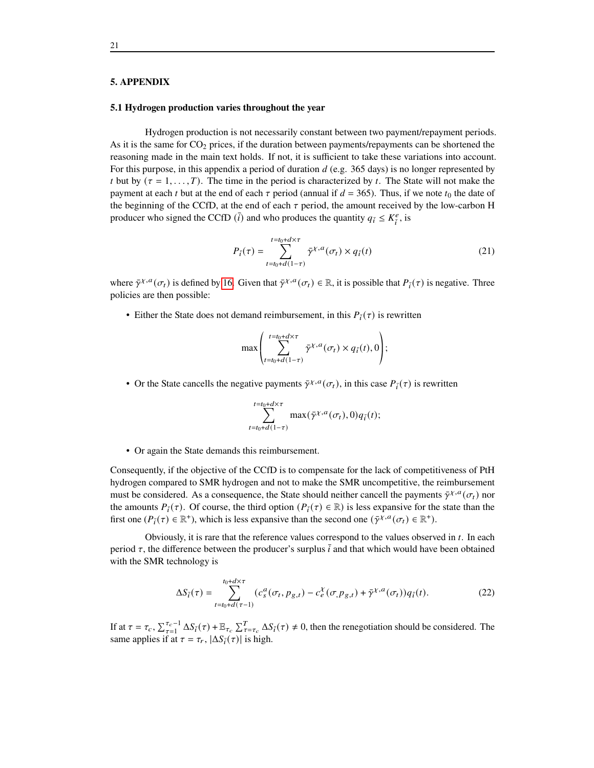#### **5. APPENDIX**

### <span id="page-20-0"></span>**5.1 Hydrogen production varies throughout the year**

Hydrogen production is not necessarily constant between two payment/repayment periods. As it is the same for  $CO<sub>2</sub>$  prices, if the duration between payments/repayments can be shortened the reasoning made in the main text holds. If not, it is sufficient to take these variations into account. For this purpose, in this appendix a period of duration  $d$  (e.g. 365 days) is no longer represented by t but by  $(\tau = 1, \ldots, T)$ . The time in the period is characterized by t. The State will not make the payment at each *t* but at the end of each  $\tau$  period (annual if  $d = 365$ ). Thus, if we note  $t_0$  the date of the beginning of the CCfD, at the end of each  $\tau$  period, the amount received by the low-carbon H producer who signed the CCfD  $(\bar{i})$  and who produces the quantity  $q_{\bar{i}} \leq K_{\bar{i}}^e$  $\frac{e}{i}$ , is

$$
P_{\bar{i}}(\tau) = \sum_{t=t_0+d(1-\tau)}^{t=t_0+d\times\tau} \bar{\gamma}^{\chi,a}(\sigma_t) \times q_{\bar{i}}(t)
$$
\n(21)

where  $\bar{\gamma}^{\chi, a}(\sigma_t)$  is defined by [16.](#page-9-3) Given that  $\bar{\gamma}^{\chi, a}(\sigma_t) \in \mathbb{R}$ , it is possible that  $P_{\bar{i}}(\tau)$  is negative. Three policies are then possible:

• Either the State does not demand reimbursement, in this  $P_{\bar{i}}(\tau)$  is rewritten

$$
\max \left( \sum_{t=t_0+d(1-\tau)}^{t=t_0+d\times \tau} \bar{\gamma}^{\chi,a}(\sigma_t) \times q_{\bar{i}}(t), 0 \right);
$$

• Or the State cancells the negative payments  $\bar{\gamma}^{\chi,a}(\sigma_t)$ , in this case  $P_{\bar{i}}(\tau)$  is rewritten

$$
\sum_{t=t_0+d(1-\tau)}^{t=t_0+d\times\tau} \max(\bar{\gamma}^{\chi,a}(\sigma_t),0)q_{\bar{i}}(t);
$$

• Or again the State demands this reimbursement.

Consequently, if the objective of the CCfD is to compensate for the lack of competitiveness of PtH hydrogen compared to SMR hydrogen and not to make the SMR uncompetitive, the reimbursement must be considered. As a consequence, the State should neither cancell the payments  $\bar{\gamma}^{\chi,a}(\sigma_t)$  nor the amounts  $P_{\bar{i}}(\tau)$ . Of course, the third option  $(P_{\bar{i}}(\tau) \in \mathbb{R})$  is less expansive for the state than the first one  $(P_i(\tau) \in \mathbb{R}^+)$ , which is less expansive than the second one  $(\bar{\gamma}^{\chi,a}(\sigma_t) \in \mathbb{R}^+)$ .

Obviously, it is rare that the reference values correspond to the values observed in  $t$ . In each period  $\tau$ , the difference between the producer's surplus  $\bar{i}$  and that which would have been obtained with the SMR technology is

$$
\Delta S_{\bar{i}}(\tau) = \sum_{t=t_0+d(\tau-1)}^{t_0+d\times\tau} (c_s^a(\sigma_t, p_{g,t}) - c_e^{\chi}(\sigma, p_{g,t}) + \bar{\gamma}^{\chi,a}(\sigma_t)) q_{\bar{i}}(t).
$$
 (22)

If at  $\tau = \tau_c$ ,  $\sum_{\tau=1}^{\tau_c-1} \Delta S_{\bar{i}}(\tau) + \mathbb{E}_{\tau_c} \sum_{\tau=\tau_c}^T \Delta S_{\bar{i}}(\tau) \neq 0$ , then the renegotiation should be considered. The same applies if at  $\tau = \tau_r$ ,  $|\Delta S_i(\tau)|$  is high.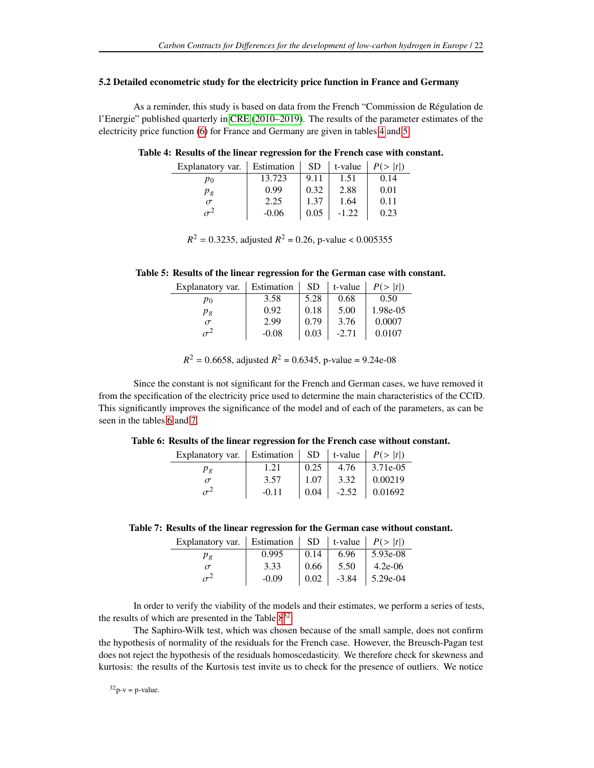#### <span id="page-21-0"></span>**5.2 Detailed econometric study for the electricity price function in France and Germany**

As a reminder, this study is based on data from the French "Commission de Régulation de l'Energie" published quarterly in [CRE](#page-26-6) [\(2010–2019\)](#page-26-6). The results of the parameter estimates of the electricity price function [\(6\)](#page-6-1) for France and Germany are given in tables [4](#page-21-1) and [5.](#page-21-2)

<span id="page-21-1"></span>**Table 4: Results of the linear regression for the French case with constant.**

| Explanatory var. | Estimation | <b>SD</b> | t-value | P(> t ) |
|------------------|------------|-----------|---------|---------|
| p0               | 13.723     | 9.11      | 1.51    | 0.14    |
| Рg               | 0.99       | 0.32      | 2.88    | 0.01    |
| $\sigma$         | 2.25       | 1.37      | 1.64    | 0.11    |
|                  | $-0.06$    | 0.05      | $-1.22$ | 0.23    |

 $R^2 = 0.3235$ , adjusted  $R^2 = 0.26$ , p-value < 0.005355

<span id="page-21-2"></span>**Table 5: Results of the linear regression for the German case with constant.**

| Explanatory var. | Estimation | <b>SD</b> | t-value | P(> t )  |
|------------------|------------|-----------|---------|----------|
| $p_0$            | 3.58       | 5.28      | 0.68    | 0.50     |
| $p_g$            | 0.92       | 0.18      | 5.00    | 1.98e-05 |
| $\tau$           | 2.99       | 0.79      | 3.76    | 0.0007   |
|                  | $-0.08$    | 0.03      | $-2.71$ | 0.0107   |

 $R^2 = 0.6658$ , adjusted  $R^2 = 0.6345$ , p-value = 9.24e-08

Since the constant is not significant for the French and German cases, we have removed it from the specification of the electricity price used to determine the main characteristics of the CCfD. This significantly improves the significance of the model and of each of the parameters, as can be seen in the tables [6](#page-21-3) and [7.](#page-21-4)

<span id="page-21-3"></span>

| Table 6: Results of the linear regression for the French case without constant. |  |  |  |  |
|---------------------------------------------------------------------------------|--|--|--|--|
|                                                                                 |  |  |  |  |

| Explanatory var.   Estimation |         |      |              | $\vert$ SD   t-value   $P(>  t )$ |
|-------------------------------|---------|------|--------------|-----------------------------------|
| $p_{g}$                       | 1.21    | 0.25 | 4.76         | 3.71e-05                          |
|                               | 3.57    | 1.07 | 3.32         | 0.00219                           |
|                               | $-0.11$ |      | $0.04$ -2.52 | $\mid$ 0.01692                    |

<span id="page-21-4"></span>

| Table 7: Results of the linear regression for the German case without constant. |  |  |  |
|---------------------------------------------------------------------------------|--|--|--|
|                                                                                 |  |  |  |
|                                                                                 |  |  |  |

| Explanatory var.   Estimation   SD   t-value   $P(>  t )$ |         |      |      |                    |
|-----------------------------------------------------------|---------|------|------|--------------------|
| $p_g$                                                     | 0.995   | 0.14 | 6.96 | 5.93e-08           |
| 3.33                                                      |         | 0.66 | 5.50 | $4.2e-06$          |
|                                                           | $-0.09$ | 0.02 |      | $-3.84$   5.29e-04 |

In order to verify the viability of the models and their estimates, we perform a series of tests, the results of which are presented in the Table  $8^{32}$  $8^{32}$  $8^{32}$ .

The Saphiro-Wilk test, which was chosen because of the small sample, does not confirm the hypothesis of normality of the residuals for the French case. However, the Breusch-Pagan test does not reject the hypothesis of the residuals homoscedasticity. We therefore check for skewness and kurtosis: the results of the Kurtosis test invite us to check for the presence of outliers. We notice

 $32p-v = p-value$ .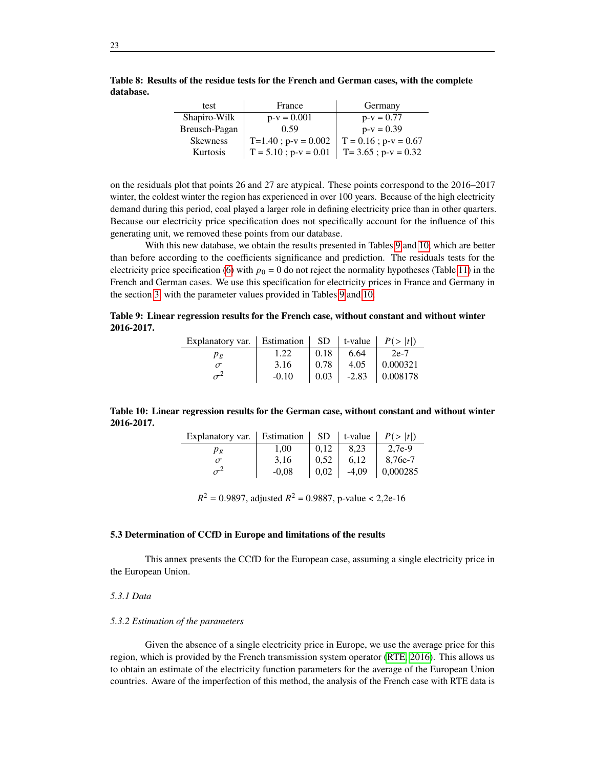| test            | France                    | Germany                   |
|-----------------|---------------------------|---------------------------|
| Shapiro-Wilk    | $p-v = 0.001$             | $p-v = 0.77$              |
| Breusch-Pagan   | 0.59                      | $p-v = 0.39$              |
| <b>Skewness</b> | $T=1.40$ ; $p-v = 0.002$  | $T = 0.16$ ; $p-v = 0.67$ |
| Kurtosis        | $T = 5.10$ ; $p-v = 0.01$ | $T = 3.65$ ; $p-v = 0.32$ |

<span id="page-22-0"></span>**Table 8: Results of the residue tests for the French and German cases, with the complete database.**

on the residuals plot that points 26 and 27 are atypical. These points correspond to the 2016–2017 winter, the coldest winter the region has experienced in over 100 years. Because of the high electricity demand during this period, coal played a larger role in defining electricity price than in other quarters. Because our electricity price specification does not specifically account for the influence of this generating unit, we removed these points from our database.

With this new database, we obtain the results presented in Tables [9](#page-22-1) and [10,](#page-22-2) which are better than before according to the coefficients significance and prediction. The residuals tests for the electricity price specification [\(6\)](#page-6-1) with  $p_0 = 0$  do not reject the normality hypotheses (Table [11\)](#page-23-0) in the French and German cases. We use this specification for electricity prices in France and Germany in the section [3,](#page-11-0) with the parameter values provided in Tables [9](#page-22-1) and [10.](#page-22-2)

<span id="page-22-1"></span>**Table 9: Linear regression results for the French case, without constant and without winter 2016-2017.**

| Explanatory var.   Estimation   SD   t-value   $P(>  t )$ |         |      |         |          |
|-----------------------------------------------------------|---------|------|---------|----------|
| Pφ                                                        | 1.22    | 0.18 | 6.64    | $2e-7$   |
| 3.16                                                      |         | 0.78 | 4.05    | 0.000321 |
|                                                           | $-0.10$ | 0.03 | $-2.83$ | 0.008178 |

<span id="page-22-2"></span>

|            | Table 10: Linear regression results for the German case, without constant and without winter |
|------------|----------------------------------------------------------------------------------------------|
| 2016-2017. |                                                                                              |

| Explanatory var. | Estimation | <b>SD</b> | t-value | P(>  t ) |
|------------------|------------|-----------|---------|----------|
| Ρg               | 1.00       | 0.12      | 8.23    | 2.7e-9   |
|                  | 3.16       |           | 6.12    | 8.76e-7  |
|                  | $-0.08$    | 0.02      | $-4.09$ | 0,000285 |

 $R^2 = 0.9897$ , adjusted  $R^2 = 0.9887$ , p-value < 2,2e-16

# **5.3 Determination of CCfD in Europe and limitations of the results**

This annex presents the CCfD for the European case, assuming a single electricity price in the European Union.

#### *5.3.1 Data*

#### *5.3.2 Estimation of the parameters*

Given the absence of a single electricity price in Europe, we use the average price for this region, which is provided by the French transmission system operator [\(RTE, 2016\)](#page-27-14). This allows us to obtain an estimate of the electricity function parameters for the average of the European Union countries. Aware of the imperfection of this method, the analysis of the French case with RTE data is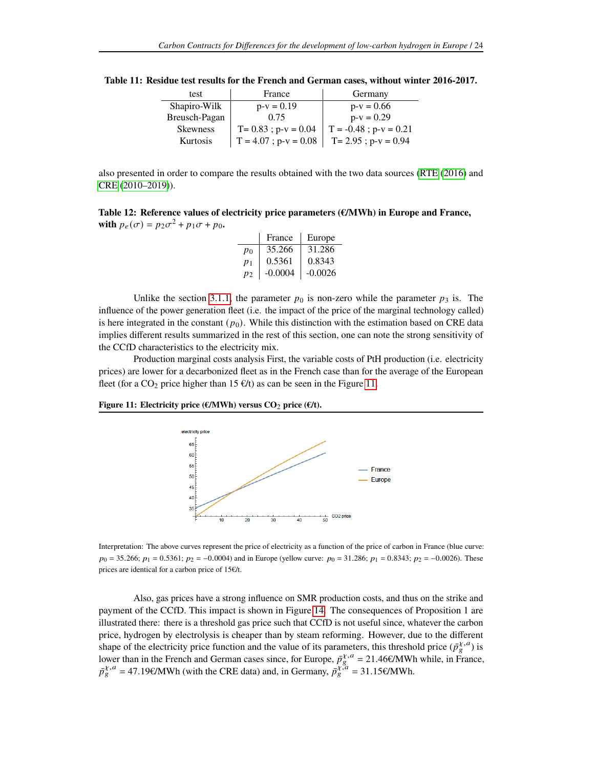| test            | France                    | Germany                    |  |
|-----------------|---------------------------|----------------------------|--|
| Shapiro-Wilk    | $p-v = 0.19$              | $p-v = 0.66$               |  |
| Breusch-Pagan   | 0.75                      | $p-v = 0.29$               |  |
| <b>Skewness</b> | $T = 0.83$ ; $p-v = 0.04$ | $T = -0.48$ ; $p-v = 0.21$ |  |
| Kurtosis        | $T = 4.07$ ; $p-v = 0.08$ | $T = 2.95$ ; $p-v = 0.94$  |  |

<span id="page-23-0"></span>**Table 11: Residue test results for the French and German cases, without winter 2016-2017.**

also presented in order to compare the results obtained with the two data sources [\(RTE](#page-27-14) [\(2016\)](#page-27-14) and [CRE](#page-26-6) [\(2010–2019\)](#page-26-6)).

<span id="page-23-2"></span>**Table 12: Reference values of electricity price parameters (€/MWh) in Europe and France, with**  $p_e(\sigma) = p_2\sigma^2 + p_1\sigma + p_0$ .

|         | France    | Europe    |
|---------|-----------|-----------|
| $p_0$   | 35.266    | 31.286    |
| $p_1$   | 0.5361    | 0.8343    |
| $p_{2}$ | $-0.0004$ | $-0.0026$ |

Unlike the section [3.1.1,](#page-12-1) the parameter  $p_0$  is non-zero while the parameter  $p_3$  is. The influence of the power generation fleet (i.e. the impact of the price of the marginal technology called) is here integrated in the constant  $(p_0)$ . While this distinction with the estimation based on CRE data implies different results summarized in the rest of this section, one can note the strong sensitivity of the CCfD characteristics to the electricity mix.

Production marginal costs analysis First, the variable costs of PtH production (i.e. electricity prices) are lower for a decarbonized fleet as in the French case than for the average of the European fleet (for a CO<sub>2</sub> price higher than 15  $\epsilon/t$ ) as can be seen in the Figure [11.](#page-23-1)

## <span id="page-23-1"></span>**Figure 11: Electricity price (€/MWh) versus CO**<sup>2</sup> **price (€/t).**



Interpretation: The above curves represent the price of electricity as a function of the price of carbon in France (blue curve:  $p_0 = 35.266$ ;  $p_1 = 0.5361$ ;  $p_2 = -0.0004$ ) and in Europe (yellow curve:  $p_0 = 31.286$ ;  $p_1 = 0.8343$ ;  $p_2 = -0.0026$ ). These prices are identical for a carbon price of 15€/t.

Also, gas prices have a strong influence on SMR production costs, and thus on the strike and payment of the CCfD. This impact is shown in Figure [14.](#page-25-0) The consequences of Proposition 1 are illustrated there: there is a threshold gas price such that CCfD is not useful since, whatever the carbon price, hydrogen by electrolysis is cheaper than by steam reforming. However, due to the different shape of the electricity price function and the value of its parameters, this threshold price  $(\bar{p}_{g}^{\chi,a})$  is lower than in the French and German cases since, for Europe,  $\bar{p}_{g}^{\chi,a} = 21.46 \epsilon/MWh$  while, in France,  $\bar{p}_{g}^{\chi,a} = 47.19 \text{E/MWh}$  (with the CRE data) and, in Germany,  $\bar{p}_{g}^{\chi,a} = 31.15 \text{E/MWh}$ .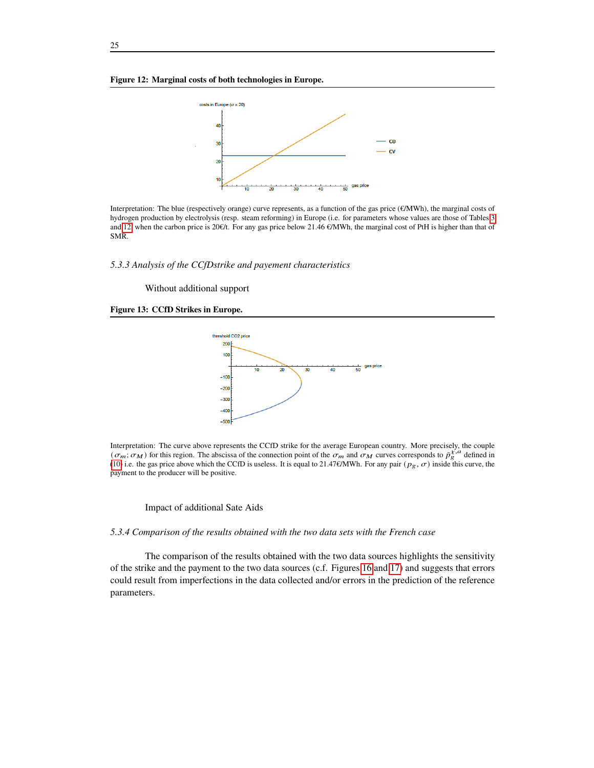#### **Figure 12: Marginal costs of both technologies in Europe.**



Interpretation: The blue (respectively orange) curve represents, as a function of the gas price (€/MWh), the marginal costs of hydrogen production by electrolysis (resp. steam reforming) in Europe (i.e. for parameters whose values are those of Tables [3](#page-14-0) and [12,](#page-23-2) when the carbon price is 20€/t. For any gas price below 21.46 €/MWh, the marginal cost of PtH is higher than that of SMR.

*5.3.3 Analysis of the CCfDstrike and payement characteristics*

Without additional support

#### <span id="page-24-0"></span>**Figure 13: CCfD Strikes in Europe.**



Interpretation: The curve above represents the CCfD strike for the average European country. More precisely, the couple  $(\sigma_m; \sigma_M)$  for this region. The abscissa of the connection point of the  $\sigma_m$  and  $\sigma_M$  curves corresponds to  $\bar{p}_{\xi}^{\chi,a}$  defined in [\(10\)](#page-7-3) i.e. the gas price above which the CCfD is useless. It is equal to 21.47€/MWh. For any pair ( $p_g, \sigma$ ) inside this curve, the payment to the producer will be positive.

#### Impact of additional Sate Aids

#### *5.3.4 Comparison of the results obtained with the two data sets with the French case*

The comparison of the results obtained with the two data sources highlights the sensitivity of the strike and the payment to the two data sources (c.f. Figures [16](#page-25-1) and [17\)](#page-26-15) and suggests that errors could result from imperfections in the data collected and/or errors in the prediction of the reference parameters.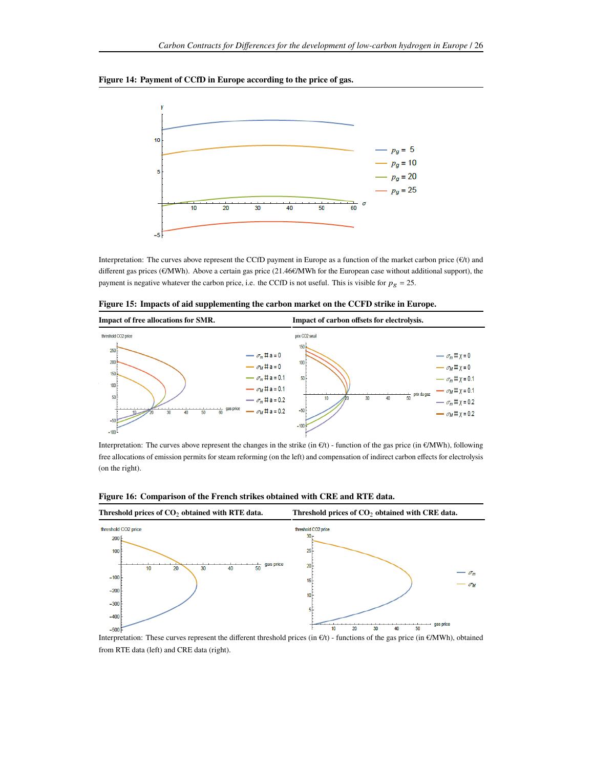# <span id="page-25-0"></span>**Figure 14: Payment of CCfD in Europe according to the price of gas.**



Interpretation: The curves above represent the CCfD payment in Europe as a function of the market carbon price  $(\epsilon/t)$  and different gas prices (€/MWh). Above a certain gas price (21.46€/MWh for the European case without additional support), the payment is negative whatever the carbon price, i.e. the CCfD is not useful. This is visible for  $p_g = 25$ .

|  |  | Figure 15: Impacts of aid supplementing the carbon market on the CCFD strike in Europe. |
|--|--|-----------------------------------------------------------------------------------------|
|  |  |                                                                                         |



Interpretation: The curves above represent the changes in the strike (in  $\epsilon/t$ ) - function of the gas price (in  $\epsilon/MWh$ ), following free allocations of emission permits for steam reforming (on the left) and compensation of indirect carbon effects for electrolysis (on the right).



<span id="page-25-1"></span>**Figure 16: Comparison of the French strikes obtained with CRE and RTE data.**

Interpretation: These curves represent the different threshold prices (in €/t) - functions of the gas price (in €/MWh), obtained from RTE data (left) and CRE data (right).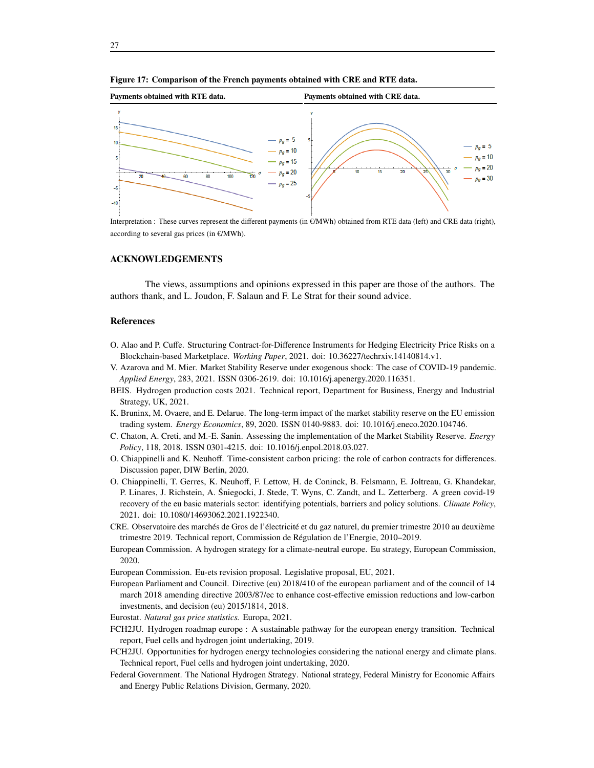

<span id="page-26-15"></span>**Figure 17: Comparison of the French payments obtained with CRE and RTE data.**

Interpretation : These curves represent the different payments (in €/MWh) obtained from RTE data (left) and CRE data (right), according to several gas prices (in €/MWh).

# **ACKNOWLEDGEMENTS**

The views, assumptions and opinions expressed in this paper are those of the authors. The authors thank, and L. Joudon, F. Salaun and F. Le Strat for their sound advice.

#### **References**

- <span id="page-26-13"></span>O. Alao and P. Cuffe. Structuring Contract-for-Difference Instruments for Hedging Electricity Price Risks on a Blockchain-based Marketplace. *Working Paper*, 2021. doi: 10.36227/techrxiv.14140814.v1.
- <span id="page-26-11"></span>V. Azarova and M. Mier. Market Stability Reserve under exogenous shock: The case of COVID-19 pandemic. *Applied Energy*, 283, 2021. ISSN 0306-2619. doi: 10.1016/j.apenergy.2020.116351.
- <span id="page-26-8"></span>BEIS. Hydrogen production costs 2021. Technical report, Department for Business, Energy and Industrial Strategy, UK, 2021.
- <span id="page-26-10"></span>K. Bruninx, M. Ovaere, and E. Delarue. The long-term impact of the market stability reserve on the EU emission trading system. *Energy Economics*, 89, 2020. ISSN 0140-9883. doi: 10.1016/j.eneco.2020.104746.
- <span id="page-26-9"></span>C. Chaton, A. Creti, and M.-E. Sanin. Assessing the implementation of the Market Stability Reserve. *Energy Policy*, 118, 2018. ISSN 0301-4215. doi: 10.1016/j.enpol.2018.03.027.
- <span id="page-26-2"></span>O. Chiappinelli and K. Neuhoff. Time-consistent carbon pricing: the role of carbon contracts for differences. Discussion paper, DIW Berlin, 2020.
- <span id="page-26-5"></span>O. Chiappinelli, T. Gerres, K. Neuhoff, F. Lettow, H. de Coninck, B. Felsmann, E. Joltreau, G. Khandekar, P. Linares, J. Richstein, A. Śniegocki, J. Stede, T. Wyns, C. Zandt, and L. Zetterberg. A green covid-19 recovery of the eu basic materials sector: identifying potentials, barriers and policy solutions. *Climate Policy*, 2021. doi: 10.1080/14693062.2021.1922340.
- <span id="page-26-6"></span>CRE. Observatoire des marchés de Gros de l'électricité et du gaz naturel, du premier trimestre 2010 au deuxième trimestre 2019. Technical report, Commission de Régulation de l'Energie, 2010–2019.
- <span id="page-26-1"></span>European Commission. A hydrogen strategy for a climate-neutral europe. Eu strategy, European Commission, 2020.
- <span id="page-26-12"></span><span id="page-26-3"></span>European Commission. Eu-ets revision proposal. Legislative proposal, EU, 2021.
- European Parliament and Council. Directive (eu) 2018/410 of the european parliament and of the council of 14 march 2018 amending directive 2003/87/ec to enhance cost-effective emission reductions and low-carbon investments, and decision (eu) 2015/1814, 2018.
- <span id="page-26-14"></span>Eurostat. *Natural gas price statistics.* Europa, 2021.
- <span id="page-26-7"></span>FCH2JU. Hydrogen roadmap europe : A sustainable pathway for the european energy transition. Technical report, Fuel cells and hydrogen joint undertaking, 2019.
- <span id="page-26-0"></span>FCH2JU. Opportunities for hydrogen energy technologies considering the national energy and climate plans. Technical report, Fuel cells and hydrogen joint undertaking, 2020.
- <span id="page-26-4"></span>Federal Government. The National Hydrogen Strategy. National strategy, Federal Ministry for Economic Affairs and Energy Public Relations Division, Germany, 2020.